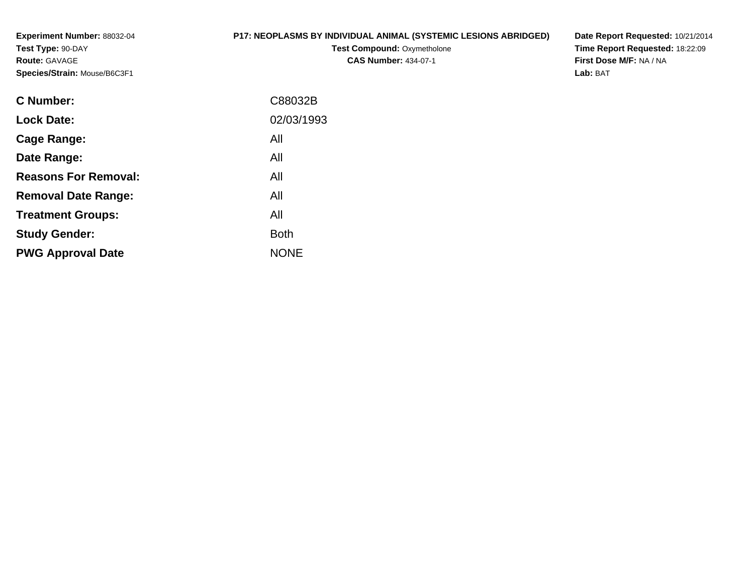**Experiment Number:** 88032-04**Test Type:** 90-DAY**Route:** GAVAGE**Species/Strain:** Mouse/B6C3F1

## **P17: NEOPLASMS BY INDIVIDUAL ANIMAL (SYSTEMIC LESIONS ABRIDGED)**

**Test Compound: Oxymetholone CAS Number:** 434-07-1

**Date Report Requested:** 10/21/2014 **Time Report Requested:** 18:22:09**First Dose M/F:** NA / NA**Lab:** BAT

| C88032B     |
|-------------|
| 02/03/1993  |
| All         |
| All         |
| All         |
| All         |
| All         |
| <b>Both</b> |
| <b>NONE</b> |
|             |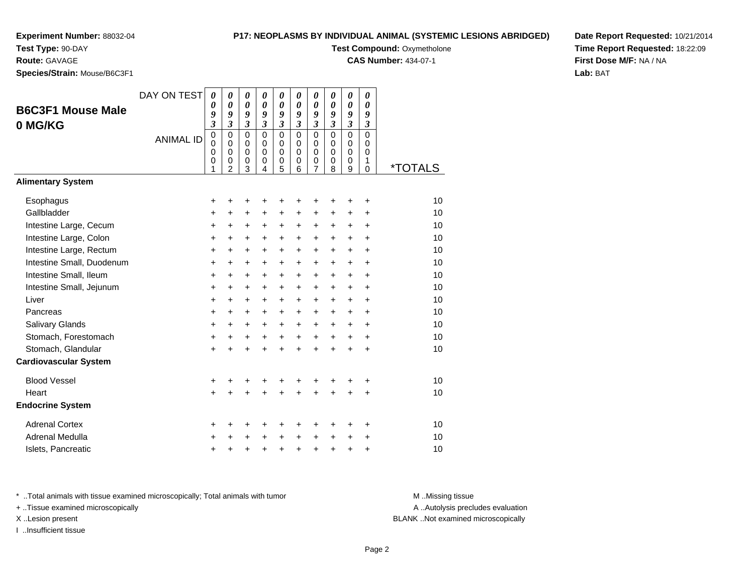# **P17: NEOPLASMS BY INDIVIDUAL ANIMAL (SYSTEMIC LESIONS ABRIDGED)**

**Test Compound: Oxymetholone** 

**CAS Number:** 434-07-1

**Date Report Requested:** 10/21/2014**Time Report Requested:** 18:22:09**First Dose M/F:** NA / NA**Lab:** BAT

**Species/Strain:** Mouse/B6C3F1

**Test Type:** 90-DAY**Route:** GAVAGE

| opecies/otrain. Mouse/Doconi |                  |                                                                                |                                                                      |                                                                     |                                                                      |                                                                       |                                                                       |                                                           |                                                        |                                                             |                                                |         |
|------------------------------|------------------|--------------------------------------------------------------------------------|----------------------------------------------------------------------|---------------------------------------------------------------------|----------------------------------------------------------------------|-----------------------------------------------------------------------|-----------------------------------------------------------------------|-----------------------------------------------------------|--------------------------------------------------------|-------------------------------------------------------------|------------------------------------------------|---------|
| <b>B6C3F1 Mouse Male</b>     | DAY ON TEST      | $\boldsymbol{\theta}$<br>0<br>9                                                | 0<br>$\boldsymbol{\theta}$<br>9                                      | $\boldsymbol{\theta}$<br>$\boldsymbol{\theta}$<br>9                 | $\boldsymbol{\theta}$<br>$\boldsymbol{\theta}$<br>9                  | 0<br>$\boldsymbol{\theta}$<br>9                                       | 0<br>$\boldsymbol{\theta}$<br>9                                       | 0<br>$\boldsymbol{\theta}$<br>9                           | 0<br>$\boldsymbol{\theta}$<br>9                        | 0<br>$\boldsymbol{\theta}$<br>9                             | 0<br>$\boldsymbol{\theta}$<br>9                |         |
| 0 MG/KG                      | <b>ANIMAL ID</b> | $\overline{\mathbf{3}}$<br>$\mathbf 0$<br>$\mathbf 0$<br>0<br>$\mathbf 0$<br>1 | $\overline{\mathbf{3}}$<br>$\mathbf 0$<br>0<br>0<br>$\mathbf 0$<br>2 | $\mathfrak{z}$<br>$\mathbf 0$<br>0<br>$\mathbf 0$<br>$\pmb{0}$<br>3 | $\overline{\mathbf{3}}$<br>$\mathbf 0$<br>0<br>0<br>$\mathbf 0$<br>4 | $\mathfrak{z}$<br>$\mathbf 0$<br>$\mathbf 0$<br>0<br>$\mathbf 0$<br>5 | $\mathfrak{z}$<br>$\mathbf 0$<br>$\mathbf 0$<br>$\mathbf 0$<br>0<br>6 | $\mathfrak{z}$<br>$\mathbf 0$<br>0<br>0<br>$\pmb{0}$<br>7 | $\mathfrak{z}$<br>0<br>$\Omega$<br>0<br>$\pmb{0}$<br>8 | $\mathfrak{z}$<br>$\mathbf 0$<br>0<br>0<br>$\mathbf 0$<br>9 | $\mathfrak{z}$<br>0<br>0<br>0<br>1<br>$\Omega$ | *TOTALS |
| <b>Alimentary System</b>     |                  |                                                                                |                                                                      |                                                                     |                                                                      |                                                                       |                                                                       |                                                           |                                                        |                                                             |                                                |         |
| Esophagus                    |                  | +                                                                              | +                                                                    | +                                                                   | +                                                                    | +                                                                     | +                                                                     | +                                                         | +                                                      | +                                                           | +                                              | 10      |
| Gallbladder                  |                  | +                                                                              | $\ddot{}$                                                            | $\ddot{}$                                                           | $\ddot{}$                                                            | $\ddot{}$                                                             | $\ddot{}$                                                             | $\ddot{}$                                                 | $\ddot{}$                                              | $\ddot{}$                                                   | +                                              | 10      |
| Intestine Large, Cecum       |                  | +                                                                              | +                                                                    | +                                                                   | +                                                                    | +                                                                     | $\pm$                                                                 | +                                                         | +                                                      | $\pm$                                                       | $\ddot{}$                                      | 10      |
| Intestine Large, Colon       |                  | $\ddot{}$                                                                      | $\ddot{}$                                                            | +                                                                   | $\ddot{}$                                                            | $\ddot{}$                                                             | $\ddot{}$                                                             | $\ddot{}$                                                 | $\ddot{}$                                              | $\ddot{}$                                                   | $\ddot{}$                                      | 10      |
| Intestine Large, Rectum      |                  | $\ddot{}$                                                                      | +                                                                    | $\ddot{}$                                                           | $\ddot{}$                                                            | $\ddot{}$                                                             | $+$                                                                   | $\ddot{}$                                                 | $\ddot{}$                                              | $\ddot{}$                                                   | $\ddot{}$                                      | 10      |
| Intestine Small, Duodenum    |                  | $\ddot{}$                                                                      | $\ddot{}$                                                            | $\ddot{}$                                                           | $\ddot{}$                                                            | $\ddot{}$                                                             | $\ddot{}$                                                             | $\ddot{}$                                                 | $\ddot{}$                                              | $\ddot{}$                                                   | $\ddot{}$                                      | 10      |
| Intestine Small, Ileum       |                  | +                                                                              | +                                                                    | $\ddot{}$                                                           | $\ddot{}$                                                            | $\ddot{}$                                                             | $\ddot{}$                                                             | +                                                         | $\ddot{}$                                              | $\ddot{}$                                                   | $\ddot{}$                                      | 10      |
| Intestine Small, Jejunum     |                  | +                                                                              | $\ddot{}$                                                            | $\ddot{}$                                                           | $\ddot{}$                                                            | $\ddot{}$                                                             | $\ddot{}$                                                             | $\ddot{}$                                                 | $\ddot{}$                                              | $\ddot{}$                                                   | $\ddot{}$                                      | 10      |
| Liver                        |                  | +                                                                              | $\ddot{}$                                                            | $\ddot{}$                                                           | $\ddot{}$                                                            | $\ddot{}$                                                             | $+$                                                                   | $\ddot{}$                                                 | $\ddot{}$                                              | $\ddot{}$                                                   | $\ddot{}$                                      | 10      |
| Pancreas                     |                  | $\ddot{}$                                                                      | $\ddot{}$                                                            | $\ddot{}$                                                           | $\ddot{}$                                                            | $\ddot{}$                                                             | $\ddot{}$                                                             | $\ddot{}$                                                 | $\ddot{}$                                              | $\ddot{}$                                                   | $\ddot{}$                                      | 10      |
| <b>Salivary Glands</b>       |                  | +                                                                              | $\ddot{}$                                                            | $\ddot{}$                                                           | $\ddot{}$                                                            | $\ddot{}$                                                             | $\ddot{}$                                                             | $\ddot{}$                                                 | $\ddot{}$                                              | $\ddot{}$                                                   | $\ddot{}$                                      | 10      |
| Stomach, Forestomach         |                  | +                                                                              | +                                                                    | +                                                                   | +                                                                    | $\ddot{}$                                                             | $\ddot{}$                                                             | $\ddot{}$                                                 | $\ddot{}$                                              | $\ddot{}$                                                   | $\ddot{}$                                      | 10      |
| Stomach, Glandular           |                  | $\ddot{}$                                                                      | $\ddot{}$                                                            | $\ddot{}$                                                           | ÷                                                                    | $\ddot{}$                                                             | $\ddot{}$                                                             | $\ddot{}$                                                 | $\ddot{}$                                              | $\ddot{}$                                                   | $\ddot{}$                                      | 10      |
| <b>Cardiovascular System</b> |                  |                                                                                |                                                                      |                                                                     |                                                                      |                                                                       |                                                                       |                                                           |                                                        |                                                             |                                                |         |
| <b>Blood Vessel</b>          |                  | +                                                                              | +                                                                    | +                                                                   | +                                                                    | +                                                                     | +                                                                     | +                                                         |                                                        |                                                             | +                                              | 10      |
| Heart                        |                  | $\ddot{}$                                                                      | $\ddot{}$                                                            | $\ddot{}$                                                           | $\ddot{}$                                                            | $\ddot{}$                                                             | $\ddot{}$                                                             | $\ddot{}$                                                 | $\ddot{}$                                              | $\ddot{}$                                                   | $\ddot{}$                                      | 10      |
| <b>Endocrine System</b>      |                  |                                                                                |                                                                      |                                                                     |                                                                      |                                                                       |                                                                       |                                                           |                                                        |                                                             |                                                |         |
| <b>Adrenal Cortex</b>        |                  | +                                                                              | +                                                                    | +                                                                   | +                                                                    | +                                                                     | +                                                                     | +                                                         | +                                                      | ٠                                                           | +                                              | 10      |
| Adrenal Medulla              |                  | +                                                                              | +                                                                    | +                                                                   | +                                                                    | $\ddot{}$                                                             | $\ddot{}$                                                             | +                                                         | +                                                      | +                                                           | +                                              | 10      |
| Islets, Pancreatic           |                  | +                                                                              | +                                                                    | +                                                                   | +                                                                    | $\ddot{}$                                                             | $\ddot{}$                                                             | +                                                         | +                                                      | +                                                           | +                                              | 10      |

\* ..Total animals with tissue examined microscopically; Total animals with tumor **M** . Missing tissue M ..Missing tissue

+ ..Tissue examined microscopically

I ..Insufficient tissue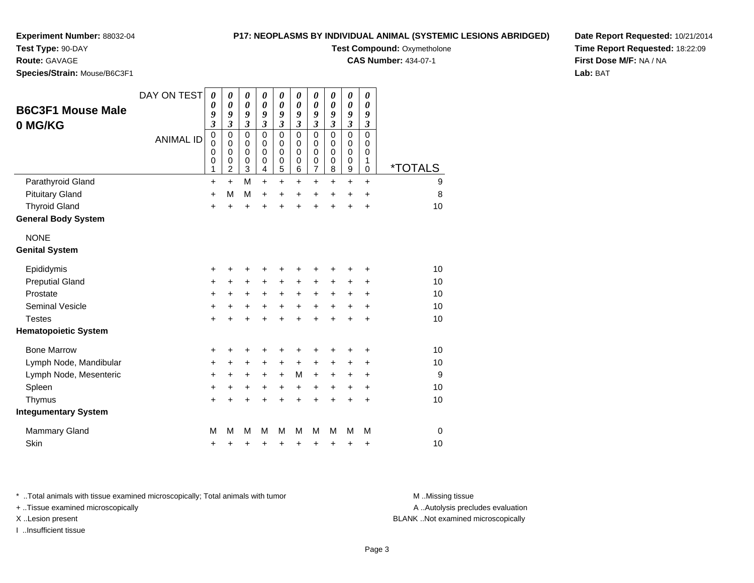#### **Test Type:** 90-DAY

**Route:** GAVAGE

**Species/Strain:** Mouse/B6C3F1

#### **P17: NEOPLASMS BY INDIVIDUAL ANIMAL (SYSTEMIC LESIONS ABRIDGED)**

**Test Compound: Oxymetholone** 

**CAS Number:** 434-07-1

**Date Report Requested:** 10/21/2014**Time Report Requested:** 18:22:09**First Dose M/F:** NA / NA**Lab:** BAT

| <b>B6C3F1 Mouse Male</b><br>0 MG/KG | DAY ON TEST<br><b>ANIMAL ID</b> | 0<br>$\boldsymbol{\theta}$<br>9<br>$\mathfrak{z}$<br>$\mathbf 0$<br>$\mathbf 0$<br>$\mathbf 0$<br>$\mathbf 0$<br>1 | 0<br>$\boldsymbol{\theta}$<br>9<br>$\overline{\mathbf{3}}$<br>$\mathbf 0$<br>$\mathbf 0$<br>$\mathbf 0$<br>0<br>$\overline{c}$ | $\pmb{\theta}$<br>$\boldsymbol{\theta}$<br>9<br>$\mathfrak{z}$<br>$\mathbf 0$<br>$\mathbf 0$<br>$\mathbf 0$<br>0<br>3 | 0<br>0<br>9<br>$\mathfrak{z}$<br>$\mathbf 0$<br>$\mathbf 0$<br>$\Omega$<br>0<br>4 | $\pmb{\theta}$<br>$\boldsymbol{\theta}$<br>9<br>$\mathfrak{z}$<br>$\mathbf 0$<br>$\mathbf 0$<br>$\mathbf 0$<br>$\pmb{0}$<br>$\overline{5}$ | $\pmb{\theta}$<br>0<br>9<br>$\mathfrak{z}$<br>$\Omega$<br>$\Omega$<br>$\Omega$<br>0<br>6 | $\boldsymbol{\theta}$<br>$\boldsymbol{\theta}$<br>9<br>$\mathfrak{z}$<br>$\mathbf 0$<br>$\pmb{0}$<br>$\mathbf 0$<br>$\pmb{0}$<br>$\overline{7}$ | 0<br>0<br>9<br>3<br>$\Omega$<br>$\mathbf 0$<br>$\Omega$<br>0<br>8 | $\boldsymbol{\theta}$<br>$\pmb{\theta}$<br>9<br>$\mathfrak{z}$<br>$\mathbf 0$<br>$\pmb{0}$<br>$\pmb{0}$<br>$\pmb{0}$<br>$\boldsymbol{9}$ | 0<br>$\boldsymbol{\theta}$<br>9<br>$\mathfrak{z}$<br>$\Omega$<br>$\mathbf 0$<br>$\mathbf 0$<br>1<br>$\mathbf 0$ | <i><b>*TOTALS</b></i> |
|-------------------------------------|---------------------------------|--------------------------------------------------------------------------------------------------------------------|--------------------------------------------------------------------------------------------------------------------------------|-----------------------------------------------------------------------------------------------------------------------|-----------------------------------------------------------------------------------|--------------------------------------------------------------------------------------------------------------------------------------------|------------------------------------------------------------------------------------------|-------------------------------------------------------------------------------------------------------------------------------------------------|-------------------------------------------------------------------|------------------------------------------------------------------------------------------------------------------------------------------|-----------------------------------------------------------------------------------------------------------------|-----------------------|
| Parathyroid Gland                   |                                 | $\ddot{}$                                                                                                          | $\ddot{}$                                                                                                                      | M                                                                                                                     | $\ddot{}$                                                                         | $+$                                                                                                                                        | $\ddot{}$                                                                                | $\ddot{}$                                                                                                                                       | $\ddot{}$                                                         | $\ddot{}$                                                                                                                                | $\ddot{}$                                                                                                       | 9                     |
| <b>Pituitary Gland</b>              |                                 | +                                                                                                                  | M                                                                                                                              | M                                                                                                                     | $\ddot{}$                                                                         | +                                                                                                                                          | +                                                                                        | +                                                                                                                                               | $\ddot{}$                                                         | $\ddot{}$                                                                                                                                | $\ddot{}$                                                                                                       | 8                     |
| <b>Thyroid Gland</b>                |                                 | $\ddot{}$                                                                                                          | $\ddot{}$                                                                                                                      | $\ddot{}$                                                                                                             | Ŧ.                                                                                | $\ddot{}$                                                                                                                                  | $\ddot{}$                                                                                | $\ddot{}$                                                                                                                                       | $\ddot{}$                                                         | $\ddot{}$                                                                                                                                | $\ddot{}$                                                                                                       | 10                    |
| <b>General Body System</b>          |                                 |                                                                                                                    |                                                                                                                                |                                                                                                                       |                                                                                   |                                                                                                                                            |                                                                                          |                                                                                                                                                 |                                                                   |                                                                                                                                          |                                                                                                                 |                       |
| <b>NONE</b>                         |                                 |                                                                                                                    |                                                                                                                                |                                                                                                                       |                                                                                   |                                                                                                                                            |                                                                                          |                                                                                                                                                 |                                                                   |                                                                                                                                          |                                                                                                                 |                       |
| <b>Genital System</b>               |                                 |                                                                                                                    |                                                                                                                                |                                                                                                                       |                                                                                   |                                                                                                                                            |                                                                                          |                                                                                                                                                 |                                                                   |                                                                                                                                          |                                                                                                                 |                       |
| Epididymis                          |                                 | +                                                                                                                  |                                                                                                                                | +                                                                                                                     | +                                                                                 | +                                                                                                                                          | +                                                                                        | +                                                                                                                                               | +                                                                 | +                                                                                                                                        | +                                                                                                               | 10                    |
| <b>Preputial Gland</b>              |                                 | +                                                                                                                  | $\ddot{}$                                                                                                                      | $\ddot{}$                                                                                                             | $\ddot{}$                                                                         | $\ddot{}$                                                                                                                                  | +                                                                                        | +                                                                                                                                               | +                                                                 | +                                                                                                                                        | +                                                                                                               | 10                    |
| Prostate                            |                                 | $\ddot{}$                                                                                                          | +                                                                                                                              | +                                                                                                                     | +                                                                                 | $\ddot{}$                                                                                                                                  | $\ddot{}$                                                                                | $\ddot{}$                                                                                                                                       | $\ddot{}$                                                         | +                                                                                                                                        | +                                                                                                               | 10                    |
| <b>Seminal Vesicle</b>              |                                 | +                                                                                                                  | +                                                                                                                              | +                                                                                                                     | +                                                                                 | +                                                                                                                                          | $\ddot{}$                                                                                | +                                                                                                                                               | $\ddot{}$                                                         | +                                                                                                                                        | +                                                                                                               | 10                    |
| <b>Testes</b>                       |                                 | $\ddot{}$                                                                                                          |                                                                                                                                | $\div$                                                                                                                | +                                                                                 | +                                                                                                                                          | $\ddot{}$                                                                                | $\ddot{}$                                                                                                                                       | +                                                                 | +                                                                                                                                        | $\div$                                                                                                          | 10                    |
| <b>Hematopoietic System</b>         |                                 |                                                                                                                    |                                                                                                                                |                                                                                                                       |                                                                                   |                                                                                                                                            |                                                                                          |                                                                                                                                                 |                                                                   |                                                                                                                                          |                                                                                                                 |                       |
| <b>Bone Marrow</b>                  |                                 | +                                                                                                                  |                                                                                                                                | +                                                                                                                     | +                                                                                 | +                                                                                                                                          | +                                                                                        | +                                                                                                                                               | +                                                                 | +                                                                                                                                        | ٠                                                                                                               | 10                    |
| Lymph Node, Mandibular              |                                 | $\ddot{}$                                                                                                          | ٠                                                                                                                              | $\ddot{}$                                                                                                             | +                                                                                 | $\ddot{}$                                                                                                                                  | +                                                                                        | $\ddot{}$                                                                                                                                       | +                                                                 | $\ddot{}$                                                                                                                                | +                                                                                                               | 10                    |
| Lymph Node, Mesenteric              |                                 | +                                                                                                                  | +                                                                                                                              | +                                                                                                                     | +                                                                                 | $\ddot{}$                                                                                                                                  | М                                                                                        | $\ddot{}$                                                                                                                                       | $\ddot{}$                                                         | $\pm$                                                                                                                                    | +                                                                                                               | 9                     |
| Spleen                              |                                 | +                                                                                                                  | +                                                                                                                              | +                                                                                                                     | +                                                                                 | +                                                                                                                                          | $\ddot{}$                                                                                | $\ddot{}$                                                                                                                                       | $\ddot{}$                                                         | $\ddot{}$                                                                                                                                | $\ddot{}$                                                                                                       | 10                    |
| Thymus                              |                                 | $\ddot{}$                                                                                                          | +                                                                                                                              | $\ddot{}$                                                                                                             | +                                                                                 | $\ddot{}$                                                                                                                                  | $\ddot{}$                                                                                | $\ddot{}$                                                                                                                                       | $\ddot{}$                                                         | +                                                                                                                                        | $\ddot{}$                                                                                                       | 10                    |
| <b>Integumentary System</b>         |                                 |                                                                                                                    |                                                                                                                                |                                                                                                                       |                                                                                   |                                                                                                                                            |                                                                                          |                                                                                                                                                 |                                                                   |                                                                                                                                          |                                                                                                                 |                       |
| <b>Mammary Gland</b>                |                                 | M                                                                                                                  | М                                                                                                                              | M                                                                                                                     | M                                                                                 | M                                                                                                                                          | М                                                                                        | M                                                                                                                                               | М                                                                 | м                                                                                                                                        | М                                                                                                               | $\mathbf 0$           |
| Skin                                |                                 | +                                                                                                                  | +                                                                                                                              | +                                                                                                                     | +                                                                                 | +                                                                                                                                          | +                                                                                        | +                                                                                                                                               | +                                                                 | +                                                                                                                                        | +                                                                                                               | 10                    |

\* ..Total animals with tissue examined microscopically; Total animals with tumor **M** . Missing tissue M ..Missing tissue

+ ..Tissue examined microscopically

I ..Insufficient tissue

A ..Autolysis precludes evaluation

X ..Lesion present BLANK ..Not examined microscopically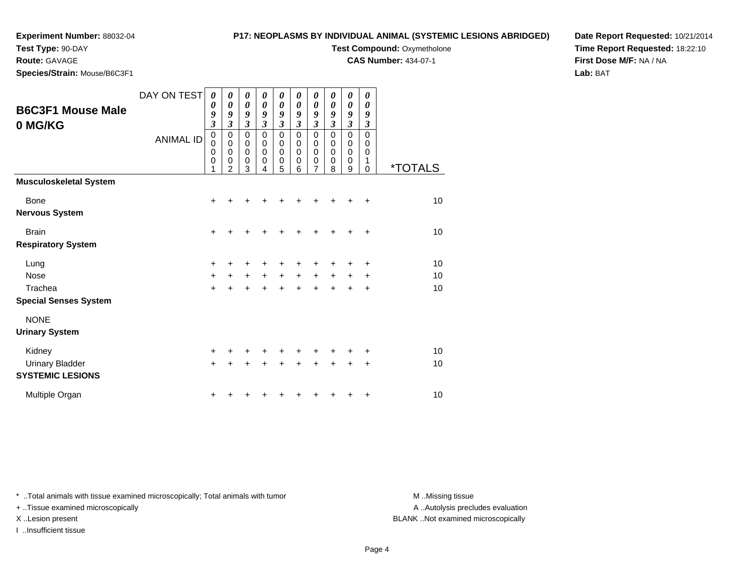**Test Type:** 90-DAY

**Route:** GAVAGE

**Species/Strain:** Mouse/B6C3F1

#### **P17: NEOPLASMS BY INDIVIDUAL ANIMAL (SYSTEMIC LESIONS ABRIDGED)**

**Test Compound: Oxymetholone** 

**CAS Number:** 434-07-1

**Date Report Requested:** 10/21/2014**Time Report Requested:** 18:22:10**First Dose M/F:** NA / NA**Lab:** BAT

| <b>B6C3F1 Mouse Male</b><br>0 MG/KG                            | DAY ON TEST<br><b>ANIMAL ID</b> | 0<br>0<br>9<br>$\overline{\mathbf{3}}$<br>$\mathbf 0$<br>0<br>$\mathbf 0$<br>0<br>1 | 0<br>$\boldsymbol{\theta}$<br>9<br>$\mathfrak{z}$<br>0<br>0<br>$\mathbf 0$<br>$\mathbf 0$<br>$\overline{2}$ | 0<br>0<br>9<br>$\mathfrak{z}$<br>$\mathbf 0$<br>0<br>$\mathbf 0$<br>$\mathbf 0$<br>3 | 0<br>0<br>9<br>$\mathfrak{z}$<br>$\mathbf 0$<br>0<br>$\mathbf 0$<br>0<br>4 | 0<br>0<br>9<br>$\boldsymbol{\mathfrak{z}}$<br>$\mathbf 0$<br>0<br>$\mathbf 0$<br>$\mathbf 0$<br>5 | 0<br>0<br>9<br>$\boldsymbol{\beta}$<br>$\mathbf 0$<br>0<br>$\mathbf 0$<br>0<br>6 | 0<br>0<br>9<br>$\boldsymbol{\beta}$<br>$\mathbf 0$<br>0<br>$\mathbf 0$<br>0<br>7 | 0<br>0<br>9<br>3<br>$\mathbf 0$<br>0<br>$\mathbf 0$<br>$\mathbf 0$<br>8 | 0<br>$\pmb{\theta}$<br>9<br>$\overline{\mathbf{3}}$<br>$\mathbf 0$<br>0<br>0<br>0<br>9 | 0<br>0<br>9<br>3<br>$\mathbf 0$<br>0<br>$\mathbf 0$<br>1<br>0 | <i><b>*TOTALS</b></i> |
|----------------------------------------------------------------|---------------------------------|-------------------------------------------------------------------------------------|-------------------------------------------------------------------------------------------------------------|--------------------------------------------------------------------------------------|----------------------------------------------------------------------------|---------------------------------------------------------------------------------------------------|----------------------------------------------------------------------------------|----------------------------------------------------------------------------------|-------------------------------------------------------------------------|----------------------------------------------------------------------------------------|---------------------------------------------------------------|-----------------------|
| <b>Musculoskeletal System</b>                                  |                                 |                                                                                     |                                                                                                             |                                                                                      |                                                                            |                                                                                                   |                                                                                  |                                                                                  |                                                                         |                                                                                        |                                                               |                       |
| Bone<br><b>Nervous System</b>                                  |                                 | $+$                                                                                 |                                                                                                             |                                                                                      |                                                                            |                                                                                                   |                                                                                  | +                                                                                |                                                                         |                                                                                        | ÷                                                             | 10                    |
| <b>Brain</b><br><b>Respiratory System</b>                      |                                 | $\ddot{}$                                                                           |                                                                                                             |                                                                                      |                                                                            |                                                                                                   |                                                                                  |                                                                                  |                                                                         |                                                                                        | ÷                                                             | 10                    |
| Lung<br><b>Nose</b><br>Trachea<br><b>Special Senses System</b> |                                 | +<br>$\ddot{}$<br>$\ddot{}$                                                         |                                                                                                             | $\ddot{}$                                                                            | $+$                                                                        | +<br>$+$<br>$\ddot{}$                                                                             | +<br>$\ddot{}$<br>÷                                                              | +<br>$\ddot{}$<br>$\ddot{}$                                                      | $\ddot{}$<br>$\ddot{}$                                                  | ٠<br>$+$<br>+                                                                          | ٠<br>+<br>+                                                   | 10<br>10<br>10        |
| <b>NONE</b><br><b>Urinary System</b>                           |                                 |                                                                                     |                                                                                                             |                                                                                      |                                                                            |                                                                                                   |                                                                                  |                                                                                  |                                                                         |                                                                                        |                                                               |                       |
| Kidney<br><b>Urinary Bladder</b><br><b>SYSTEMIC LESIONS</b>    |                                 | +<br>$\ddot{}$                                                                      |                                                                                                             |                                                                                      |                                                                            | +                                                                                                 | ÷                                                                                | +                                                                                |                                                                         | +                                                                                      | ٠<br>+                                                        | 10<br>10              |
| Multiple Organ                                                 |                                 |                                                                                     |                                                                                                             |                                                                                      |                                                                            |                                                                                                   |                                                                                  |                                                                                  |                                                                         |                                                                                        | ٠                                                             | 10                    |

\* ..Total animals with tissue examined microscopically; Total animals with tumor **M** . Missing tissue M ..Missing tissue

+ ..Tissue examined microscopically

I ..Insufficient tissue

A ..Autolysis precludes evaluation

X ..Lesion present BLANK ..Not examined microscopically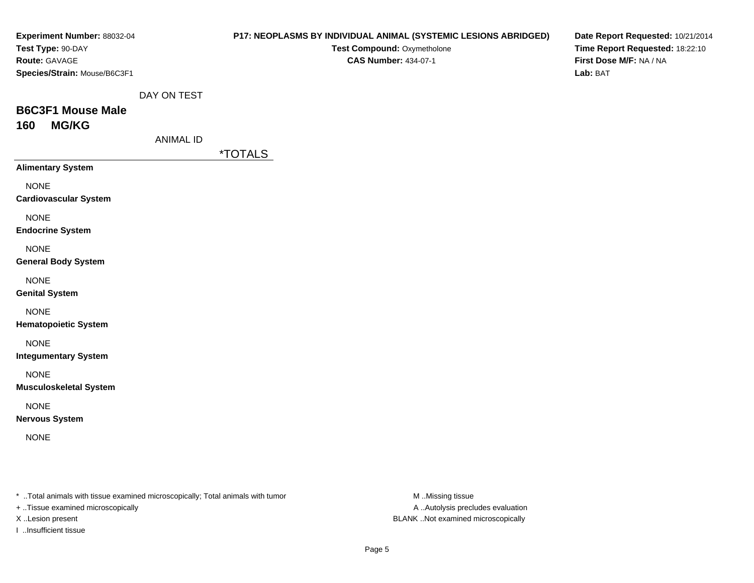| Experiment Number: 88032-04                                                    |                  | P17: NEOPLASMS BY INDIVIDUAL ANIMAL (SYSTEMIC LESIONS ABRIDGED) | Date Report Requested: 10/21/2014                          |
|--------------------------------------------------------------------------------|------------------|-----------------------------------------------------------------|------------------------------------------------------------|
| Test Type: 90-DAY<br>Route: GAVAGE                                             |                  | Test Compound: Oxymetholone<br><b>CAS Number: 434-07-1</b>      | Time Report Requested: 18:22:10<br>First Dose M/F: NA / NA |
| Species/Strain: Mouse/B6C3F1                                                   |                  |                                                                 | Lab: BAT                                                   |
|                                                                                | DAY ON TEST      |                                                                 |                                                            |
| <b>B6C3F1 Mouse Male</b>                                                       |                  |                                                                 |                                                            |
| <b>MG/KG</b><br>160                                                            |                  |                                                                 |                                                            |
|                                                                                | <b>ANIMAL ID</b> |                                                                 |                                                            |
|                                                                                |                  | <i><b>*TOTALS</b></i>                                           |                                                            |
| <b>Alimentary System</b>                                                       |                  |                                                                 |                                                            |
| <b>NONE</b><br><b>Cardiovascular System</b>                                    |                  |                                                                 |                                                            |
| <b>NONE</b><br><b>Endocrine System</b>                                         |                  |                                                                 |                                                            |
| <b>NONE</b><br><b>General Body System</b>                                      |                  |                                                                 |                                                            |
| <b>NONE</b><br><b>Genital System</b>                                           |                  |                                                                 |                                                            |
| <b>NONE</b><br><b>Hematopoietic System</b>                                     |                  |                                                                 |                                                            |
| <b>NONE</b><br><b>Integumentary System</b>                                     |                  |                                                                 |                                                            |
| <b>NONE</b><br><b>Musculoskeletal System</b>                                   |                  |                                                                 |                                                            |
| <b>NONE</b><br><b>Nervous System</b>                                           |                  |                                                                 |                                                            |
| <b>NONE</b>                                                                    |                  |                                                                 |                                                            |
|                                                                                |                  |                                                                 |                                                            |
| * Total animals with tissue examined microscopically; Total animals with tumor |                  |                                                                 | M Missing tissue                                           |

+ ..Tissue examined microscopically

I ..Insufficient tissue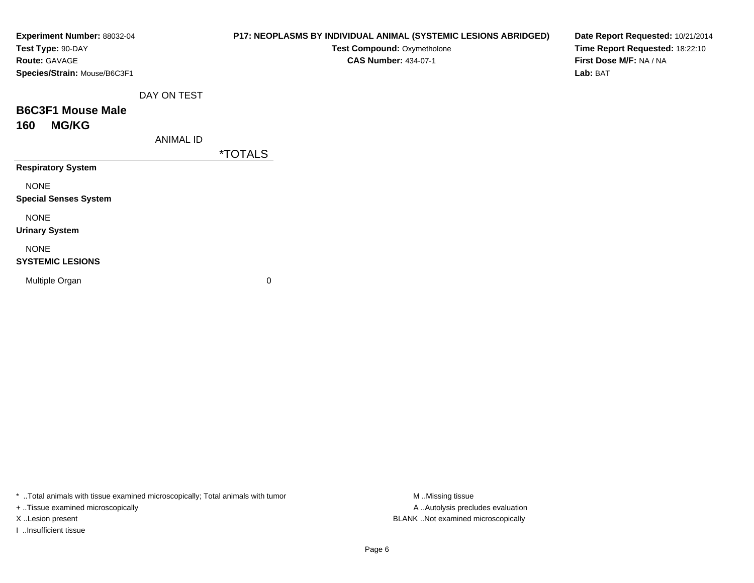| Experiment Number: 88032-04<br>Test Type: 90-DAY |                  | P17: NEOPLASMS BY INDIVIDUAL ANIMAL (SYSTEMIC LESIONS ABRIDGED)<br>Test Compound: Oxymetholone | Date Report Requested: 10/21/2014<br>Time Report Requested: 18:22:10 |
|--------------------------------------------------|------------------|------------------------------------------------------------------------------------------------|----------------------------------------------------------------------|
| <b>Route: GAVAGE</b>                             |                  | <b>CAS Number: 434-07-1</b>                                                                    | First Dose M/F: NA / NA                                              |
| Species/Strain: Mouse/B6C3F1                     |                  |                                                                                                | Lab: BAT                                                             |
|                                                  | DAY ON TEST      |                                                                                                |                                                                      |
| <b>B6C3F1 Mouse Male</b>                         |                  |                                                                                                |                                                                      |
| <b>MG/KG</b><br>160                              |                  |                                                                                                |                                                                      |
|                                                  | <b>ANIMAL ID</b> |                                                                                                |                                                                      |
|                                                  |                  | <i><b>*TOTALS</b></i>                                                                          |                                                                      |
| <b>Respiratory System</b>                        |                  |                                                                                                |                                                                      |
| <b>NONE</b>                                      |                  |                                                                                                |                                                                      |
| <b>Special Senses System</b>                     |                  |                                                                                                |                                                                      |
| <b>NONE</b>                                      |                  |                                                                                                |                                                                      |
| <b>Urinary System</b>                            |                  |                                                                                                |                                                                      |
| <b>NONE</b>                                      |                  |                                                                                                |                                                                      |
| <b>SYSTEMIC LESIONS</b>                          |                  |                                                                                                |                                                                      |
| Multiple Organ                                   |                  | 0                                                                                              |                                                                      |
|                                                  |                  |                                                                                                |                                                                      |
|                                                  |                  |                                                                                                |                                                                      |

\* ..Total animals with tissue examined microscopically; Total animals with tumor M..Missing tissue M ..Missing tissue

+ ..Tissue examined microscopically

I ..Insufficient tissue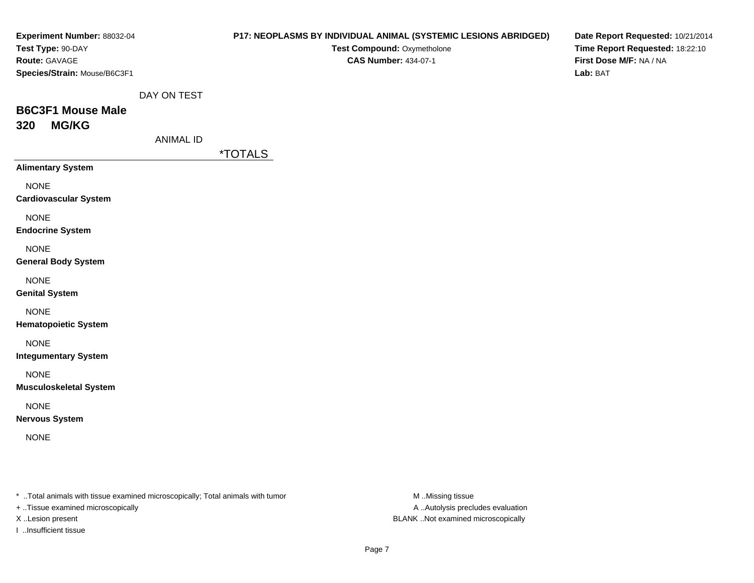| Experiment Number: 88032-04                                                    |                  | P17: NEOPLASMS BY INDIVIDUAL ANIMAL (SYSTEMIC LESIONS ABRIDGED) | Date Report Requested: 10/21/2014   |
|--------------------------------------------------------------------------------|------------------|-----------------------------------------------------------------|-------------------------------------|
| Test Type: 90-DAY                                                              |                  | Test Compound: Oxymetholone                                     | Time Report Requested: 18:22:10     |
| Route: GAVAGE                                                                  |                  | <b>CAS Number: 434-07-1</b>                                     | First Dose M/F: NA / NA<br>Lab: BAT |
| Species/Strain: Mouse/B6C3F1                                                   |                  |                                                                 |                                     |
|                                                                                | DAY ON TEST      |                                                                 |                                     |
| <b>B6C3F1 Mouse Male</b>                                                       |                  |                                                                 |                                     |
| <b>MG/KG</b><br>320                                                            |                  |                                                                 |                                     |
|                                                                                | <b>ANIMAL ID</b> |                                                                 |                                     |
|                                                                                |                  | <i><b>*TOTALS</b></i>                                           |                                     |
| <b>Alimentary System</b>                                                       |                  |                                                                 |                                     |
| <b>NONE</b>                                                                    |                  |                                                                 |                                     |
| <b>Cardiovascular System</b>                                                   |                  |                                                                 |                                     |
| <b>NONE</b>                                                                    |                  |                                                                 |                                     |
| <b>Endocrine System</b>                                                        |                  |                                                                 |                                     |
| <b>NONE</b>                                                                    |                  |                                                                 |                                     |
| <b>General Body System</b>                                                     |                  |                                                                 |                                     |
| <b>NONE</b>                                                                    |                  |                                                                 |                                     |
| <b>Genital System</b>                                                          |                  |                                                                 |                                     |
| <b>NONE</b>                                                                    |                  |                                                                 |                                     |
| <b>Hematopoietic System</b>                                                    |                  |                                                                 |                                     |
| <b>NONE</b>                                                                    |                  |                                                                 |                                     |
| <b>Integumentary System</b>                                                    |                  |                                                                 |                                     |
| <b>NONE</b>                                                                    |                  |                                                                 |                                     |
| <b>Musculoskeletal System</b>                                                  |                  |                                                                 |                                     |
| <b>NONE</b>                                                                    |                  |                                                                 |                                     |
| <b>Nervous System</b>                                                          |                  |                                                                 |                                     |
| <b>NONE</b>                                                                    |                  |                                                                 |                                     |
|                                                                                |                  |                                                                 |                                     |
|                                                                                |                  |                                                                 |                                     |
|                                                                                |                  |                                                                 |                                     |
| * Total animals with tissue examined microscopically; Total animals with tumor |                  | M Missing tissue                                                |                                     |
|                                                                                |                  |                                                                 |                                     |

+ ..Tissue examined microscopically

I ..Insufficient tissue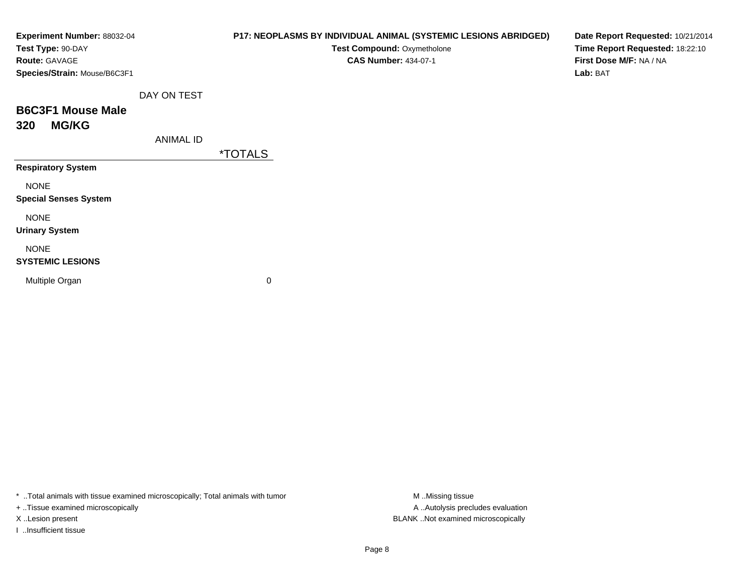| Experiment Number: 88032-04<br>Test Type: 90-DAY |                  | P17: NEOPLASMS BY INDIVIDUAL ANIMAL (SYSTEMIC LESIONS ABRIDGED)<br>Test Compound: Oxymetholone | Date Report Requested: 10/21/2014<br>Time Report Requested: 18:22:10 |
|--------------------------------------------------|------------------|------------------------------------------------------------------------------------------------|----------------------------------------------------------------------|
| <b>Route: GAVAGE</b>                             |                  | <b>CAS Number: 434-07-1</b>                                                                    | First Dose M/F: NA / NA                                              |
| Species/Strain: Mouse/B6C3F1                     |                  |                                                                                                | Lab: BAT                                                             |
|                                                  | DAY ON TEST      |                                                                                                |                                                                      |
| <b>B6C3F1 Mouse Male</b>                         |                  |                                                                                                |                                                                      |
| <b>MG/KG</b><br>320                              |                  |                                                                                                |                                                                      |
|                                                  | <b>ANIMAL ID</b> |                                                                                                |                                                                      |
|                                                  |                  | <i><b>*TOTALS</b></i>                                                                          |                                                                      |
| <b>Respiratory System</b>                        |                  |                                                                                                |                                                                      |
| <b>NONE</b>                                      |                  |                                                                                                |                                                                      |
| <b>Special Senses System</b>                     |                  |                                                                                                |                                                                      |
| <b>NONE</b>                                      |                  |                                                                                                |                                                                      |
| <b>Urinary System</b>                            |                  |                                                                                                |                                                                      |
| <b>NONE</b>                                      |                  |                                                                                                |                                                                      |
| <b>SYSTEMIC LESIONS</b>                          |                  |                                                                                                |                                                                      |
| Multiple Organ                                   |                  | 0                                                                                              |                                                                      |
|                                                  |                  |                                                                                                |                                                                      |

\* ..Total animals with tissue examined microscopically; Total animals with tumor M..Missing tissue M ..Missing tissue

+ ..Tissue examined microscopically

I ..Insufficient tissue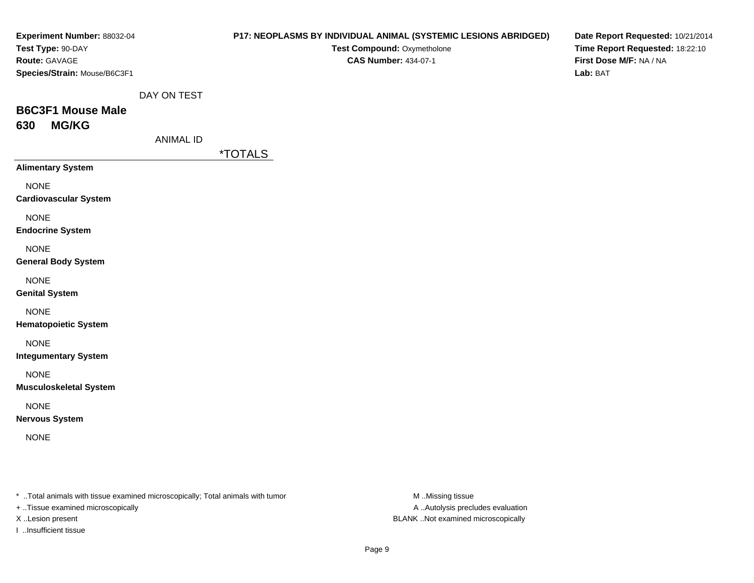| Experiment Number: 88032-04<br>Test Type: 90-DAY                                                                    |                  | P17: NEOPLASMS BY INDIVIDUAL ANIMAL (SYSTEMIC LESIONS ABRIDGED) | Test Compound: Oxymetholone |                                   | Date Report Requested: 10/21/2014<br>Time Report Requested: 18:22:10 |
|---------------------------------------------------------------------------------------------------------------------|------------------|-----------------------------------------------------------------|-----------------------------|-----------------------------------|----------------------------------------------------------------------|
| Route: GAVAGE<br>Species/Strain: Mouse/B6C3F1                                                                       |                  |                                                                 | <b>CAS Number: 434-07-1</b> |                                   | First Dose M/F: NA / NA<br>Lab: BAT                                  |
|                                                                                                                     | DAY ON TEST      |                                                                 |                             |                                   |                                                                      |
| <b>B6C3F1 Mouse Male</b><br><b>MG/KG</b><br>630                                                                     |                  |                                                                 |                             |                                   |                                                                      |
|                                                                                                                     | <b>ANIMAL ID</b> |                                                                 |                             |                                   |                                                                      |
|                                                                                                                     |                  | <i><b>*TOTALS</b></i>                                           |                             |                                   |                                                                      |
| <b>Alimentary System</b>                                                                                            |                  |                                                                 |                             |                                   |                                                                      |
| <b>NONE</b><br><b>Cardiovascular System</b>                                                                         |                  |                                                                 |                             |                                   |                                                                      |
| <b>NONE</b><br><b>Endocrine System</b>                                                                              |                  |                                                                 |                             |                                   |                                                                      |
| <b>NONE</b><br><b>General Body System</b>                                                                           |                  |                                                                 |                             |                                   |                                                                      |
| <b>NONE</b><br><b>Genital System</b>                                                                                |                  |                                                                 |                             |                                   |                                                                      |
| <b>NONE</b><br><b>Hematopoietic System</b>                                                                          |                  |                                                                 |                             |                                   |                                                                      |
| <b>NONE</b><br><b>Integumentary System</b>                                                                          |                  |                                                                 |                             |                                   |                                                                      |
| <b>NONE</b><br><b>Musculoskeletal System</b>                                                                        |                  |                                                                 |                             |                                   |                                                                      |
| <b>NONE</b><br><b>Nervous System</b>                                                                                |                  |                                                                 |                             |                                   |                                                                      |
| <b>NONE</b>                                                                                                         |                  |                                                                 |                             |                                   |                                                                      |
| * Total animals with tissue examined microscopically; Total animals with tumor<br>+ Tissue examined microscopically |                  |                                                                 | M Missing tissue            | A  Autolysis precludes evaluation |                                                                      |

I ..Insufficient tissue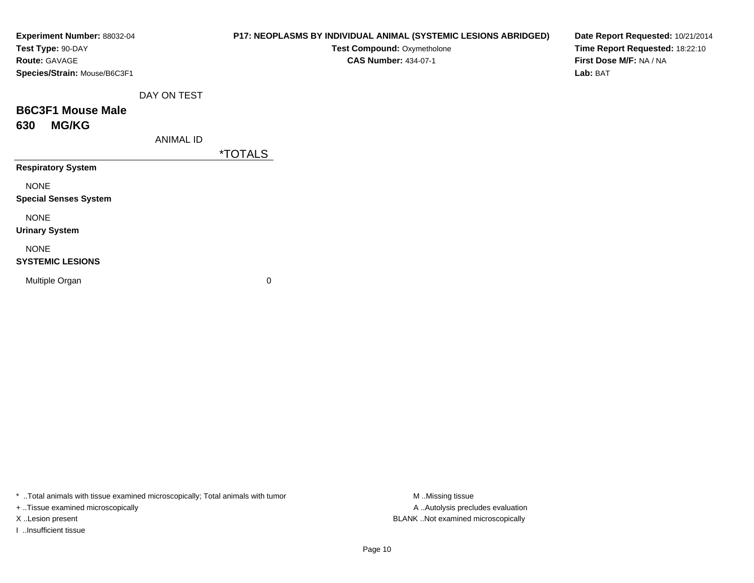| Experiment Number: 88032-04<br>Test Type: 90-DAY<br>Route: GAVAGE<br>Species/Strain: Mouse/B6C3F1 |                  | P17: NEOPLASMS BY INDIVIDUAL ANIMAL (SYSTEMIC LESIONS ABRIDGED)<br>Test Compound: Oxymetholone<br><b>CAS Number: 434-07-1</b> | Date Report Requested: 10/21/2014<br>Time Report Requested: 18:22:10<br>First Dose M/F: NA / NA<br>Lab: BAT |
|---------------------------------------------------------------------------------------------------|------------------|-------------------------------------------------------------------------------------------------------------------------------|-------------------------------------------------------------------------------------------------------------|
|                                                                                                   | DAY ON TEST      |                                                                                                                               |                                                                                                             |
| <b>B6C3F1 Mouse Male</b><br><b>MG/KG</b><br>630                                                   |                  |                                                                                                                               |                                                                                                             |
|                                                                                                   | <b>ANIMAL ID</b> | <i><b>*TOTALS</b></i>                                                                                                         |                                                                                                             |
| <b>Respiratory System</b>                                                                         |                  |                                                                                                                               |                                                                                                             |
| <b>NONE</b><br><b>Special Senses System</b>                                                       |                  |                                                                                                                               |                                                                                                             |
| <b>NONE</b><br><b>Urinary System</b>                                                              |                  |                                                                                                                               |                                                                                                             |
| <b>NONE</b><br><b>SYSTEMIC LESIONS</b>                                                            |                  |                                                                                                                               |                                                                                                             |
| Multiple Organ                                                                                    |                  | 0                                                                                                                             |                                                                                                             |

\* ..Total animals with tissue examined microscopically; Total animals with tumor M..Missing tissue M ..Missing tissue

+ ..Tissue examined microscopically

I ..Insufficient tissue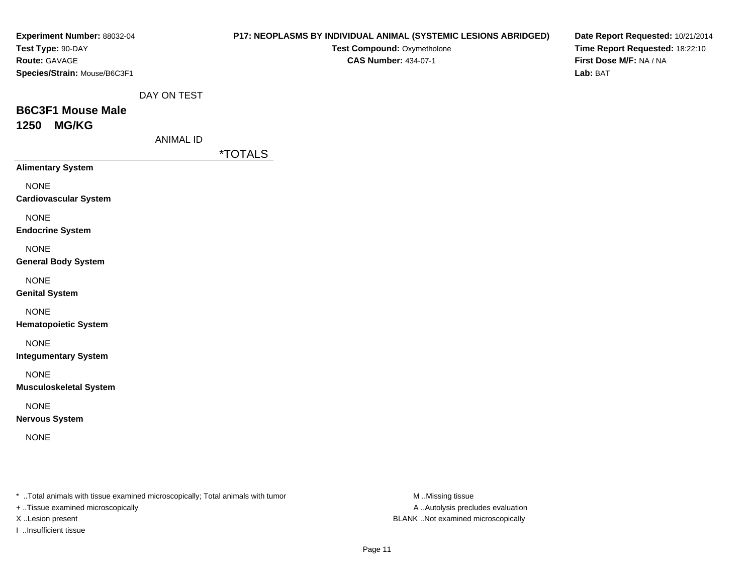| Experiment Number: 88032-04<br>Test Type: 90-DAY                                                                    | P17: NEOPLASMS BY INDIVIDUAL ANIMAL (SYSTEMIC LESIONS ABRIDGED)<br>Test Compound: Oxymetholone | Date Report Requested: 10/21/2014<br>Time Report Requested: 18:22:10 |
|---------------------------------------------------------------------------------------------------------------------|------------------------------------------------------------------------------------------------|----------------------------------------------------------------------|
| Route: GAVAGE<br>Species/Strain: Mouse/B6C3F1                                                                       | <b>CAS Number: 434-07-1</b>                                                                    | First Dose M/F: NA / NA<br>Lab: BAT                                  |
| DAY ON TEST                                                                                                         |                                                                                                |                                                                      |
| <b>B6C3F1 Mouse Male</b><br><b>MG/KG</b><br>1250                                                                    |                                                                                                |                                                                      |
| <b>ANIMAL ID</b>                                                                                                    |                                                                                                |                                                                      |
|                                                                                                                     | <i><b>*TOTALS</b></i>                                                                          |                                                                      |
| <b>Alimentary System</b>                                                                                            |                                                                                                |                                                                      |
| <b>NONE</b><br><b>Cardiovascular System</b>                                                                         |                                                                                                |                                                                      |
| <b>NONE</b><br><b>Endocrine System</b>                                                                              |                                                                                                |                                                                      |
| <b>NONE</b><br><b>General Body System</b>                                                                           |                                                                                                |                                                                      |
| <b>NONE</b><br><b>Genital System</b>                                                                                |                                                                                                |                                                                      |
| <b>NONE</b><br><b>Hematopoietic System</b>                                                                          |                                                                                                |                                                                      |
| <b>NONE</b><br><b>Integumentary System</b>                                                                          |                                                                                                |                                                                      |
| <b>NONE</b><br><b>Musculoskeletal System</b>                                                                        |                                                                                                |                                                                      |
| <b>NONE</b><br><b>Nervous System</b>                                                                                |                                                                                                |                                                                      |
| <b>NONE</b>                                                                                                         |                                                                                                |                                                                      |
| * Total animals with tissue examined microscopically; Total animals with tumor<br>+ Tissue examined microscopically | M Missing tissue<br>A  Autolysis precludes evaluation                                          |                                                                      |

I ..Insufficient tissue

X ..Lesion present BLANK ..Not examined microscopically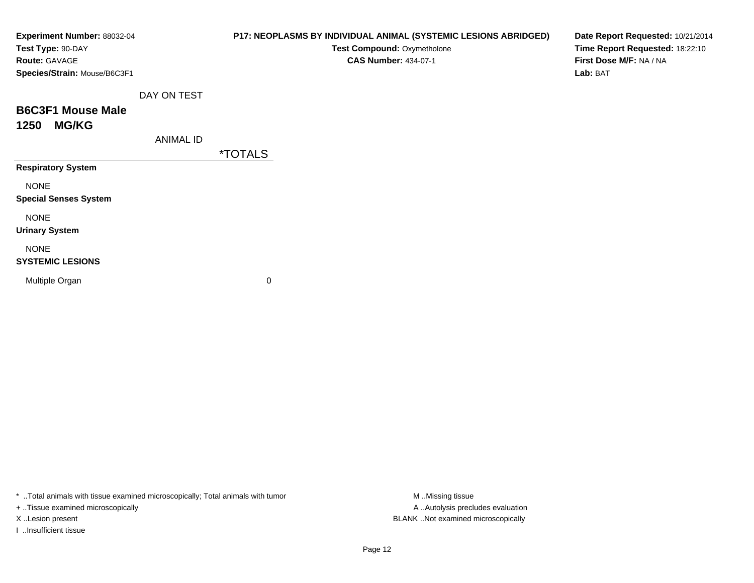| Experiment Number: 88032-04<br>Test Type: 90-DAY<br>Route: GAVAGE<br>Species/Strain: Mouse/B6C3F1 |                  | P17: NEOPLASMS BY INDIVIDUAL ANIMAL (SYSTEMIC LESIONS ABRIDGED)<br>Test Compound: Oxymetholone<br><b>CAS Number: 434-07-1</b> | Date Report Requested: 10/21/2014<br>Time Report Requested: 18:22:10<br>First Dose M/F: NA / NA<br>Lab: BAT |
|---------------------------------------------------------------------------------------------------|------------------|-------------------------------------------------------------------------------------------------------------------------------|-------------------------------------------------------------------------------------------------------------|
|                                                                                                   | DAY ON TEST      |                                                                                                                               |                                                                                                             |
| <b>B6C3F1 Mouse Male</b><br><b>MG/KG</b><br>1250                                                  |                  |                                                                                                                               |                                                                                                             |
|                                                                                                   | <b>ANIMAL ID</b> | <i><b>*TOTALS</b></i>                                                                                                         |                                                                                                             |
| <b>Respiratory System</b>                                                                         |                  |                                                                                                                               |                                                                                                             |
| <b>NONE</b><br><b>Special Senses System</b>                                                       |                  |                                                                                                                               |                                                                                                             |
| <b>NONE</b><br><b>Urinary System</b>                                                              |                  |                                                                                                                               |                                                                                                             |
| <b>NONE</b><br><b>SYSTEMIC LESIONS</b>                                                            |                  |                                                                                                                               |                                                                                                             |
| Multiple Organ                                                                                    |                  | 0                                                                                                                             |                                                                                                             |

\* ..Total animals with tissue examined microscopically; Total animals with tumor M..Missing tissue M ..Missing tissue

+ ..Tissue examined microscopically

I ..Insufficient tissue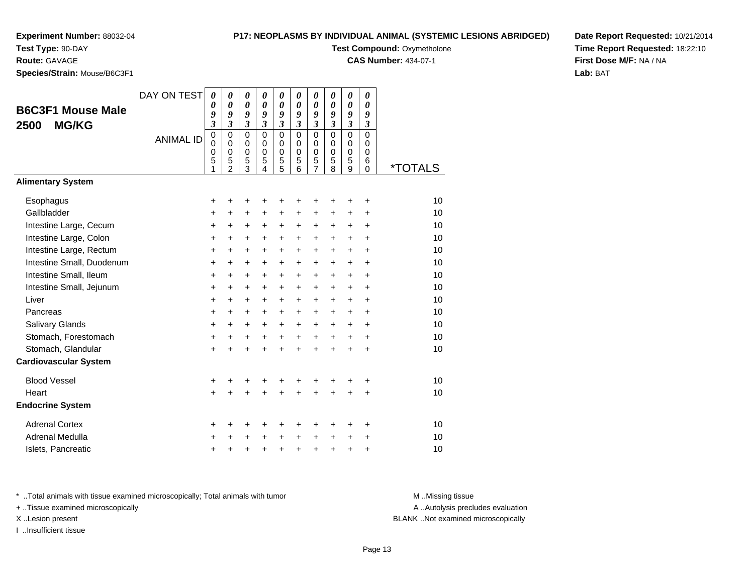# **Test Type:** 90-DAY

**Route:** GAVAGE

**Species/Strain:** Mouse/B6C3F1

## **P17: NEOPLASMS BY INDIVIDUAL ANIMAL (SYSTEMIC LESIONS ABRIDGED)**

**Test Compound: Oxymetholone** 

**CAS Number:** 434-07-1

**Date Report Requested:** 10/21/2014**Time Report Requested:** 18:22:10**First Dose M/F:** NA / NA**Lab:** BAT

|                              | DAY ON TEST      | $\boldsymbol{\theta}$<br>0 | 0<br>$\boldsymbol{\theta}$ | 0<br>$\boldsymbol{\theta}$ | $\boldsymbol{\theta}$<br>$\boldsymbol{\theta}$ | $\boldsymbol{\theta}$<br>$\boldsymbol{\theta}$ | 0<br>0                  | $\pmb{\theta}$<br>$\theta$ | 0<br>$\boldsymbol{\theta}$ | $\boldsymbol{\theta}$<br>$\boldsymbol{\theta}$ | 0<br>$\boldsymbol{\theta}$    |                       |
|------------------------------|------------------|----------------------------|----------------------------|----------------------------|------------------------------------------------|------------------------------------------------|-------------------------|----------------------------|----------------------------|------------------------------------------------|-------------------------------|-----------------------|
| <b>B6C3F1 Mouse Male</b>     |                  | 9                          | 9                          | 9                          | 9                                              | 9                                              | 9                       | 9                          | 9                          | 9                                              | 9                             |                       |
| <b>MG/KG</b><br>2500         |                  | $\overline{\mathbf{3}}$    | $\overline{\mathbf{3}}$    | $\mathfrak{z}$             | $\mathfrak{z}$                                 | $\mathfrak{z}$                                 | $\overline{\mathbf{3}}$ | $\overline{\mathbf{3}}$    | $\overline{\mathbf{3}}$    | $\mathfrak{z}$                                 | $\overline{\mathbf{3}}$       |                       |
|                              | <b>ANIMAL ID</b> | $\mathbf 0$<br>$\mathbf 0$ | $\mathbf 0$<br>$\mathbf 0$ | $\mathbf 0$<br>$\mathbf 0$ | $\mathbf 0$<br>$\mathbf 0$                     | $\pmb{0}$<br>$\mathbf 0$                       | $\mathbf 0$<br>0        | $\mathbf 0$<br>0           | $\mathbf 0$<br>0           | $\mathbf 0$<br>$\mathbf 0$                     | $\overline{0}$<br>$\mathbf 0$ |                       |
|                              |                  | $\mathbf 0$                | $\pmb{0}$                  | $\pmb{0}$                  | $\mathbf 0$                                    | $\pmb{0}$                                      | $\mathbf 0$             | $\mathbf 0$                | $\Omega$                   | $\mathbf 0$                                    | 0                             |                       |
|                              |                  | 5<br>1                     | 5<br>$\overline{2}$        | 5<br>$\overline{3}$        | 5<br>4                                         | 5<br>5                                         | 5<br>6                  | 5<br>$\overline{7}$        | 5<br>8                     | 5<br>$\overline{9}$                            | 6<br>$\Omega$                 | <i><b>*TOTALS</b></i> |
| <b>Alimentary System</b>     |                  |                            |                            |                            |                                                |                                                |                         |                            |                            |                                                |                               |                       |
| Esophagus                    |                  | +                          | +                          | +                          | +                                              | +                                              |                         | +                          | +                          | +                                              | +                             | 10                    |
| Gallbladder                  |                  | +                          | $+$                        | $\ddot{}$                  | +                                              | $\ddot{}$                                      | $\ddot{}$               | $\ddot{}$                  | +                          | +                                              | $\ddot{}$                     | 10                    |
| Intestine Large, Cecum       |                  | +                          | +                          | +                          | +                                              | +                                              | +                       | +                          | +                          | +                                              | $\ddot{}$                     | 10                    |
| Intestine Large, Colon       |                  | $\ddot{}$                  | +                          | $\ddot{}$                  | $\ddot{}$                                      | $\ddot{}$                                      | $\ddot{}$               | $\ddot{}$                  | $\ddot{}$                  | $\ddot{}$                                      | $\ddot{}$                     | 10                    |
| Intestine Large, Rectum      |                  | +                          | $\ddot{}$                  | $\ddot{}$                  | $\ddot{}$                                      | $\ddot{}$                                      | $\ddot{}$               | $\ddot{}$                  | +                          | $\ddot{}$                                      | $\ddot{}$                     | 10                    |
| Intestine Small, Duodenum    |                  | $\ddot{}$                  | $\ddot{}$                  | $\ddot{}$                  | $\ddot{}$                                      | $\ddot{}$                                      | $\ddot{}$               | $\ddot{}$                  | +                          | +                                              | $\ddot{}$                     | 10                    |
| Intestine Small, Ileum       |                  | +                          | +                          | $\ddot{}$                  | $\ddot{}$                                      | $\ddot{}$                                      | $\ddot{}$               | $\ddot{}$                  | +                          | $\ddot{}$                                      | $\ddot{}$                     | 10                    |
| Intestine Small, Jejunum     |                  | $\ddot{}$                  | $\ddot{}$                  | $\ddot{}$                  | $\ddot{}$                                      | $\ddot{}$                                      | $\ddot{}$               | $\ddot{}$                  | $\ddot{}$                  | $\ddot{}$                                      | $\ddot{}$                     | 10                    |
| Liver                        |                  | +                          | $\ddot{}$                  | +                          | $\ddot{}$                                      | $\ddot{}$                                      | $\ddot{}$               | +                          | $\ddot{}$                  | $\ddot{}$                                      | $\ddot{}$                     | 10                    |
| Pancreas                     |                  | +                          | $\ddot{}$                  | $\ddot{}$                  | $\ddot{}$                                      | $\ddot{}$                                      | $\ddot{}$               | $\ddot{}$                  | $\ddot{}$                  | $\ddot{}$                                      | $\ddot{}$                     | 10                    |
| Salivary Glands              |                  | +                          | $\ddot{}$                  | $\ddot{}$                  | +                                              | $\ddot{}$                                      | $\ddot{}$               | +                          | $\ddot{}$                  | +                                              | +                             | 10                    |
| Stomach, Forestomach         |                  | +                          | +                          | +                          | +                                              | $\ddot{}$                                      | $+$                     | $\ddot{}$                  | $\ddot{}$                  | $\ddot{}$                                      | $\ddot{}$                     | 10                    |
| Stomach, Glandular           |                  | $\ddot{}$                  | $\ddot{}$                  | $\ddot{}$                  | +                                              | $\ddot{}$                                      | ÷                       | $\ddot{}$                  | $\ddot{}$                  | $\ddot{}$                                      | $\ddot{}$                     | 10                    |
| <b>Cardiovascular System</b> |                  |                            |                            |                            |                                                |                                                |                         |                            |                            |                                                |                               |                       |
| <b>Blood Vessel</b>          |                  | +                          | +                          | +                          |                                                |                                                |                         | +                          |                            |                                                | ÷                             | 10                    |
| Heart                        |                  | +                          |                            | +                          |                                                |                                                |                         | $\ddot{}$                  | $\ddot{}$                  | $\ddot{}$                                      | $\ddot{}$                     | 10                    |
| <b>Endocrine System</b>      |                  |                            |                            |                            |                                                |                                                |                         |                            |                            |                                                |                               |                       |
| <b>Adrenal Cortex</b>        |                  | ÷                          | +                          | +                          | +                                              | +                                              | ٠                       | +                          | +                          | ٠                                              | ٠                             | 10                    |
| Adrenal Medulla              |                  | +                          |                            | +                          | +                                              | $\ddot{}$                                      | $\ddot{}$               | +                          | +                          | +                                              | +                             | 10                    |
| Islets, Pancreatic           |                  | +                          | +                          | +                          | +                                              | $\ddot{}$                                      | $\ddot{}$               | +                          | +                          | +                                              | +                             | 10                    |

\* ..Total animals with tissue examined microscopically; Total animals with tumor **M** . Missing tissue M ..Missing tissue

+ ..Tissue examined microscopically

I ..Insufficient tissue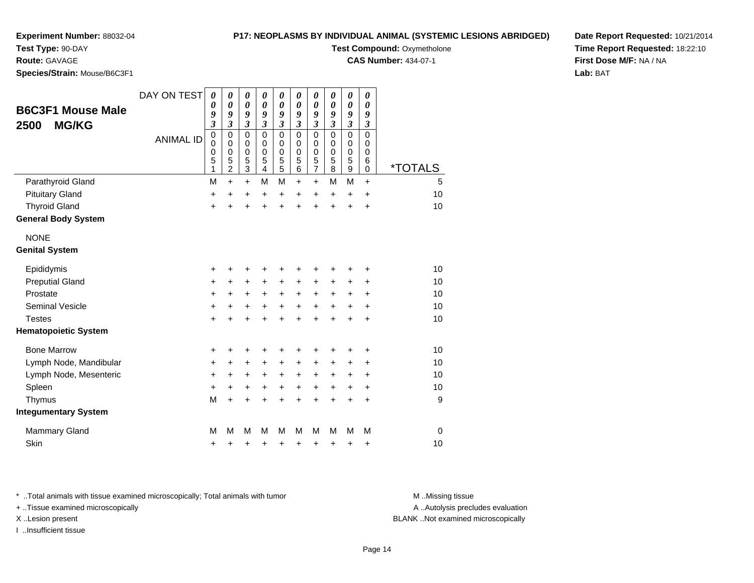#### **P17: NEOPLASMS BY INDIVIDUAL ANIMAL (SYSTEMIC LESIONS ABRIDGED)**

**Test Compound: Oxymetholone CAS Number:** 434-07-1

**Experiment Number:** 88032-04

**Test Type:** 90-DAY

# **Route:** GAVAGE

**Species/Strain:** Mouse/B6C3F1

| <b>B6C3F1 Mouse Male</b>    | DAY ON TEST      | 0<br>0                | 0<br>0                          | 0<br>$\boldsymbol{\theta}$                   | 0<br>0                                       | 0<br>0                                       | 0<br>0                                             | 0<br>0                                       | 0<br>0                                                | 0<br>0                | 0<br>0                |                       |
|-----------------------------|------------------|-----------------------|---------------------------------|----------------------------------------------|----------------------------------------------|----------------------------------------------|----------------------------------------------------|----------------------------------------------|-------------------------------------------------------|-----------------------|-----------------------|-----------------------|
| <b>MG/KG</b><br>2500        | <b>ANIMAL ID</b> | 9<br>3<br>0<br>0<br>0 | 9<br>3<br>$\mathbf 0$<br>0<br>0 | 9<br>$\mathfrak{z}$<br>$\mathbf 0$<br>0<br>0 | 9<br>$\mathfrak{z}$<br>$\mathbf 0$<br>0<br>0 | 9<br>$\mathfrak{z}$<br>$\mathbf 0$<br>0<br>0 | 9<br>$\boldsymbol{\beta}$<br>$\mathbf 0$<br>0<br>0 | 9<br>$\mathfrak{z}$<br>$\mathbf 0$<br>0<br>0 | 9<br>$\overline{\mathbf{3}}$<br>$\mathbf 0$<br>0<br>0 | 9<br>3<br>0<br>0<br>0 | 9<br>3<br>0<br>0<br>0 |                       |
|                             |                  | 5<br>1                | 5<br>$\overline{c}$             | 5<br>3                                       | 5<br>4                                       | 5<br>5                                       | 5<br>6                                             | 5<br>$\overline{7}$                          | $\overline{5}$<br>8                                   | 5<br>9                | 6<br>0                | <i><b>*TOTALS</b></i> |
| Parathyroid Gland           |                  | M                     | $\ddot{}$                       | $\ddot{}$                                    | M                                            | M                                            | $\ddot{}$                                          | $\ddot{}$                                    | M                                                     | M                     | $\ddot{}$             | 5                     |
| <b>Pituitary Gland</b>      |                  | $\ddot{}$             | +                               | +                                            | +                                            | $\ddot{}$                                    | $\ddot{}$                                          | $\ddot{}$                                    | $\ddot{}$                                             | $\ddot{}$             | $\ddot{}$             | 10                    |
| <b>Thyroid Gland</b>        |                  | $\ddot{}$             | $\ddot{}$                       |                                              | $\ddot{}$                                    | ÷                                            | $\ddot{}$                                          | $\ddot{}$                                    | $\ddot{}$                                             | $\ddot{}$             | $\ddot{}$             | 10                    |
| <b>General Body System</b>  |                  |                       |                                 |                                              |                                              |                                              |                                                    |                                              |                                                       |                       |                       |                       |
| <b>NONE</b>                 |                  |                       |                                 |                                              |                                              |                                              |                                                    |                                              |                                                       |                       |                       |                       |
| <b>Genital System</b>       |                  |                       |                                 |                                              |                                              |                                              |                                                    |                                              |                                                       |                       |                       |                       |
| Epididymis                  |                  | +                     | +                               |                                              | +                                            |                                              | +                                                  |                                              | +                                                     | +                     | +                     | 10                    |
| <b>Preputial Gland</b>      |                  | $\ddot{}$             | +                               | $\ddot{}$                                    | $\ddot{}$                                    | +                                            | +                                                  | $\ddot{}$                                    | +                                                     | +                     | +                     | 10                    |
| Prostate                    |                  | +                     | +                               | +                                            | +                                            | +                                            | +                                                  | +                                            | +                                                     | +                     | +                     | 10                    |
| <b>Seminal Vesicle</b>      |                  | +                     | +                               | +                                            | +                                            | +                                            | +                                                  | $\ddot{}$                                    | +                                                     | $\ddot{}$             | $\ddot{}$             | 10                    |
| <b>Testes</b>               |                  | $\ddot{}$             | $\ddot{}$                       |                                              | +                                            |                                              | $\ddot{}$                                          | ÷                                            | $\ddot{}$                                             | $\ddot{}$             | $\ddot{}$             | 10                    |
| <b>Hematopoietic System</b> |                  |                       |                                 |                                              |                                              |                                              |                                                    |                                              |                                                       |                       |                       |                       |
| <b>Bone Marrow</b>          |                  | +                     | +                               | +                                            | +                                            | +                                            | +                                                  | +                                            | +                                                     | +                     | +                     | 10                    |
| Lymph Node, Mandibular      |                  | +                     | +                               | +                                            | +                                            | +                                            | +                                                  | +                                            | $\pm$                                                 | +                     | +                     | 10                    |
| Lymph Node, Mesenteric      |                  | +                     | +                               | +                                            | +                                            | +                                            | +                                                  | +                                            | +                                                     | +                     | +                     | 10                    |
| Spleen                      |                  | $\ddot{}$             | $\ddot{}$                       | +                                            | $\ddot{}$                                    | $\ddot{}$                                    | $\ddot{}$                                          | $\ddot{}$                                    | +                                                     | +                     | +                     | 10                    |
| Thymus                      |                  | M                     | $\ddot{}$                       | $\ddot{}$                                    | $\ddot{}$                                    | $\ddot{}$                                    | $\ddot{}$                                          | $\ddot{}$                                    | $\ddot{}$                                             | $\ddot{}$             | $\ddot{}$             | 9                     |
| <b>Integumentary System</b> |                  |                       |                                 |                                              |                                              |                                              |                                                    |                                              |                                                       |                       |                       |                       |
| <b>Mammary Gland</b>        |                  | M                     | M                               | м                                            | М                                            | М                                            | М                                                  | М                                            | М                                                     | м                     | M                     | 0                     |
| Skin                        |                  | +                     | +                               | +                                            | +                                            | +                                            | +                                                  | +                                            | +                                                     | +                     | +                     | 10                    |
|                             |                  |                       |                                 |                                              |                                              |                                              |                                                    |                                              |                                                       |                       |                       |                       |

\* ..Total animals with tissue examined microscopically; Total animals with tumor **M** . Missing tissue M ..Missing tissue

+ ..Tissue examined microscopically

I ..Insufficient tissue

A ..Autolysis precludes evaluation

X ..Lesion present BLANK ..Not examined microscopically

**Date Report Requested:** 10/21/2014**Time Report Requested:** 18:22:10**First Dose M/F:** NA / NA**Lab:** BAT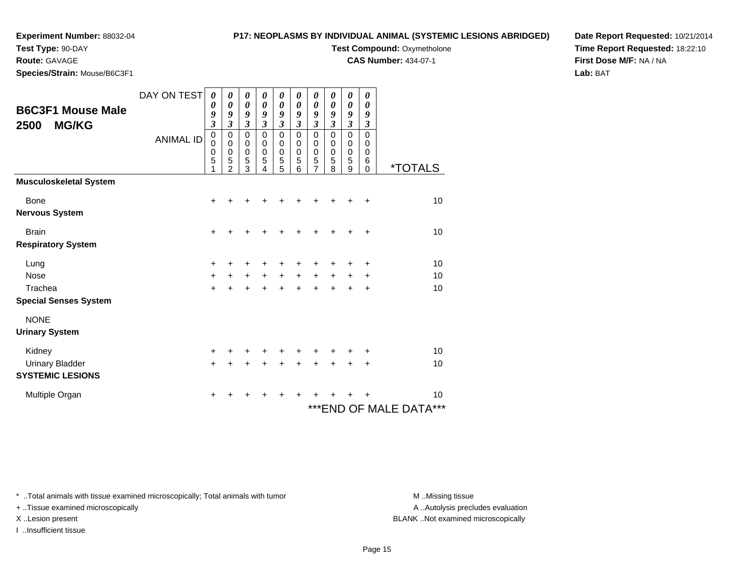## **Test Type:** 90-DAY

#### **Route:** GAVAGE

**Species/Strain:** Mouse/B6C3F1

## **P17: NEOPLASMS BY INDIVIDUAL ANIMAL (SYSTEMIC LESIONS ABRIDGED)**

# **Test Compound: Oxymetholone**

**CAS Number:** 434-07-1

**Date Report Requested:** 10/21/2014**Time Report Requested:** 18:22:10**First Dose M/F:** NA / NA**Lab:** BAT

| <b>B6C3F1 Mouse Male</b><br>2500<br><b>MG/KG</b> | DAY ON TEST<br><b>ANIMAL ID</b> | 0<br>0<br>9<br>$\overline{\mathbf{3}}$<br>$\pmb{0}$<br>$\mathbf 0$<br>$\mathbf 0$<br>5<br>1 | 0<br>$\boldsymbol{\theta}$<br>9<br>$\mathfrak{z}$<br>$\mathbf 0$<br>$\pmb{0}$<br>$\mathbf 0$<br>5<br>$\mathfrak{p}$ | 0<br>0<br>9<br>$\mathfrak{z}$<br>$\mathbf 0$<br>$\mathbf 0$<br>0<br>5<br>3 | 0<br>0<br>9<br>$\mathfrak{z}$<br>$\mathbf 0$<br>$\mathbf 0$<br>0<br>5<br>4 | 0<br>$\boldsymbol{\theta}$<br>9<br>3<br>$\mathbf 0$<br>$\pmb{0}$<br>$\pmb{0}$<br>5<br>5 | 0<br>$\boldsymbol{\theta}$<br>9<br>$\mathfrak{z}$<br>$\mathbf 0$<br>$\mathbf 0$<br>$\pmb{0}$<br>5<br>6 | 0<br>0<br>9<br>$\mathfrak{z}$<br>$\mathbf 0$<br>0<br>$\,0\,$<br>5<br>7 | 0<br>$\boldsymbol{\theta}$<br>9<br>$\mathfrak{z}$<br>$\Omega$<br>$\mathbf 0$<br>$\mathbf 0$<br>5<br>8 | $\boldsymbol{\theta}$<br>$\boldsymbol{\theta}$<br>9<br>$\boldsymbol{\beta}$<br>$\mathbf 0$<br>$\pmb{0}$<br>$\mathbf 0$<br>5<br>9 | 0<br>$\boldsymbol{\theta}$<br>9<br>$\mathfrak{z}$<br>$\mathbf 0$<br>0<br>0<br>6<br>$\Omega$ | <i><b>*TOTALS</b></i>      |
|--------------------------------------------------|---------------------------------|---------------------------------------------------------------------------------------------|---------------------------------------------------------------------------------------------------------------------|----------------------------------------------------------------------------|----------------------------------------------------------------------------|-----------------------------------------------------------------------------------------|--------------------------------------------------------------------------------------------------------|------------------------------------------------------------------------|-------------------------------------------------------------------------------------------------------|----------------------------------------------------------------------------------------------------------------------------------|---------------------------------------------------------------------------------------------|----------------------------|
| <b>Musculoskeletal System</b>                    |                                 |                                                                                             |                                                                                                                     |                                                                            |                                                                            |                                                                                         |                                                                                                        |                                                                        |                                                                                                       |                                                                                                                                  |                                                                                             |                            |
| <b>Bone</b><br><b>Nervous System</b>             |                                 | +                                                                                           |                                                                                                                     | +                                                                          |                                                                            |                                                                                         |                                                                                                        |                                                                        |                                                                                                       |                                                                                                                                  | +                                                                                           | 10                         |
| <b>Brain</b>                                     |                                 | $\ddot{}$                                                                                   |                                                                                                                     | +                                                                          | +                                                                          | +                                                                                       | +                                                                                                      | +                                                                      |                                                                                                       |                                                                                                                                  | $\ddot{}$                                                                                   | 10                         |
| <b>Respiratory System</b>                        |                                 |                                                                                             |                                                                                                                     |                                                                            |                                                                            |                                                                                         |                                                                                                        |                                                                        |                                                                                                       |                                                                                                                                  |                                                                                             |                            |
| Lung                                             |                                 | +                                                                                           |                                                                                                                     | +                                                                          |                                                                            |                                                                                         |                                                                                                        |                                                                        |                                                                                                       |                                                                                                                                  |                                                                                             | 10                         |
| Nose                                             |                                 | $\ddot{}$                                                                                   | $\ddot{}$                                                                                                           | +                                                                          | +                                                                          | $\ddot{}$                                                                               | $\ddot{}$                                                                                              | +                                                                      | $\ddot{}$                                                                                             | +                                                                                                                                | +                                                                                           | 10                         |
| Trachea                                          |                                 | $\ddot{}$                                                                                   | $\ddot{}$                                                                                                           | $\ddot{}$                                                                  | $\ddot{}$                                                                  | $+$                                                                                     | $\ddot{}$                                                                                              | $\ddot{}$                                                              | $\ddot{}$                                                                                             | +                                                                                                                                | $\ddot{}$                                                                                   | 10                         |
| <b>Special Senses System</b>                     |                                 |                                                                                             |                                                                                                                     |                                                                            |                                                                            |                                                                                         |                                                                                                        |                                                                        |                                                                                                       |                                                                                                                                  |                                                                                             |                            |
| <b>NONE</b><br><b>Urinary System</b>             |                                 |                                                                                             |                                                                                                                     |                                                                            |                                                                            |                                                                                         |                                                                                                        |                                                                        |                                                                                                       |                                                                                                                                  |                                                                                             |                            |
| Kidney                                           |                                 | $\ddot{}$                                                                                   | +                                                                                                                   | +                                                                          |                                                                            |                                                                                         |                                                                                                        |                                                                        |                                                                                                       |                                                                                                                                  | +                                                                                           | 10                         |
| <b>Urinary Bladder</b>                           |                                 | $\ddot{}$                                                                                   |                                                                                                                     | +                                                                          | +                                                                          | +                                                                                       |                                                                                                        | +                                                                      |                                                                                                       |                                                                                                                                  | ٠                                                                                           | 10                         |
| <b>SYSTEMIC LESIONS</b>                          |                                 |                                                                                             |                                                                                                                     |                                                                            |                                                                            |                                                                                         |                                                                                                        |                                                                        |                                                                                                       |                                                                                                                                  |                                                                                             |                            |
| Multiple Organ                                   |                                 | +                                                                                           | ٠                                                                                                                   | +                                                                          | ٠                                                                          | ٠                                                                                       | ÷                                                                                                      | ٠                                                                      |                                                                                                       |                                                                                                                                  |                                                                                             | 10                         |
|                                                  |                                 |                                                                                             |                                                                                                                     |                                                                            |                                                                            |                                                                                         |                                                                                                        |                                                                        |                                                                                                       |                                                                                                                                  |                                                                                             | ***<br>***END OF MALE DATA |

\* ..Total animals with tissue examined microscopically; Total animals with tumor **M** . Missing tissue M ..Missing tissue

+ ..Tissue examined microscopically

I ..Insufficient tissue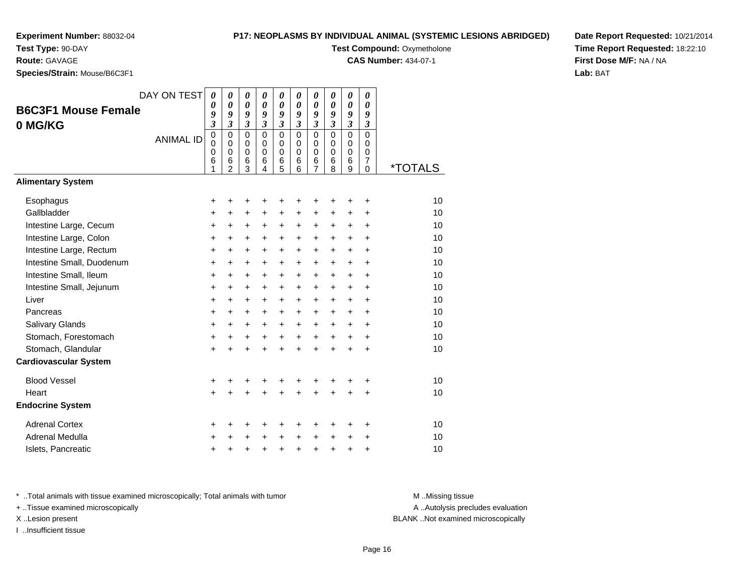# **Test Type:** 90-DAY

**Route:** GAVAGE

**Species/Strain:** Mouse/B6C3F1

### **P17: NEOPLASMS BY INDIVIDUAL ANIMAL (SYSTEMIC LESIONS ABRIDGED)**

**Test Compound: Oxymetholone** 

**CAS Number:** 434-07-1

**Date Report Requested:** 10/21/2014**Time Report Requested:** 18:22:10**First Dose M/F:** NA / NA**Lab:** BAT

| <b>B6C3F1 Mouse Female</b><br>0 MG/KG | DAY ON TEST<br><b>ANIMAL ID</b> | 0<br>0<br>9<br>$\overline{\mathbf{3}}$<br>$\pmb{0}$<br>0<br>0<br>6<br>1 | 0<br>0<br>9<br>$\overline{\mathbf{3}}$<br>$\mathbf 0$<br>$\mathbf 0$<br>0<br>6<br>$\overline{2}$ | 0<br>$\boldsymbol{\theta}$<br>9<br>$\mathfrak{z}$<br>$\Omega$<br>0<br>$\mathbf 0$<br>6<br>3 | 0<br>$\boldsymbol{\theta}$<br>9<br>$\mathfrak{z}$<br>$\Omega$<br>$\mathbf 0$<br>$\Omega$<br>6<br>4 | 0<br>$\boldsymbol{\theta}$<br>9<br>$\boldsymbol{\beta}$<br>$\Omega$<br>$\mathbf 0$<br>$\mathbf 0$<br>6<br>5 | 0<br>$\boldsymbol{\theta}$<br>9<br>$\mathfrak{z}$<br>$\Omega$<br>$\mathbf 0$<br>$\mathbf 0$<br>6<br>6 | 0<br>$\boldsymbol{\theta}$<br>9<br>$\mathfrak{z}$<br>$\mathbf 0$<br>$\pmb{0}$<br>$\mathbf 0$<br>6<br>$\overline{7}$ | 0<br>0<br>9<br>$\mathfrak{z}$<br>$\Omega$<br>$\mathbf 0$<br>$\mathbf 0$<br>6<br>8 | 0<br>0<br>9<br>$\boldsymbol{\mathfrak{z}}$<br>$\mathbf 0$<br>0<br>0<br>6<br>9 | 0<br>$\boldsymbol{\theta}$<br>9<br>$\mathfrak{z}$<br>$\Omega$<br>$\Omega$<br>$\Omega$<br>7<br>$\mathbf 0$ | <i><b>*TOTALS</b></i> |
|---------------------------------------|---------------------------------|-------------------------------------------------------------------------|--------------------------------------------------------------------------------------------------|---------------------------------------------------------------------------------------------|----------------------------------------------------------------------------------------------------|-------------------------------------------------------------------------------------------------------------|-------------------------------------------------------------------------------------------------------|---------------------------------------------------------------------------------------------------------------------|-----------------------------------------------------------------------------------|-------------------------------------------------------------------------------|-----------------------------------------------------------------------------------------------------------|-----------------------|
| <b>Alimentary System</b>              |                                 |                                                                         |                                                                                                  |                                                                                             |                                                                                                    |                                                                                                             |                                                                                                       |                                                                                                                     |                                                                                   |                                                                               |                                                                                                           |                       |
| Esophagus                             |                                 | +                                                                       | +                                                                                                | +                                                                                           | +                                                                                                  | +                                                                                                           | +                                                                                                     | +                                                                                                                   | +                                                                                 | +                                                                             | +                                                                                                         | 10                    |
| Gallbladder                           |                                 | +                                                                       | +                                                                                                | +                                                                                           | +                                                                                                  | $\ddot{}$                                                                                                   | $\ddot{}$                                                                                             | $\ddot{}$                                                                                                           | $\ddot{}$                                                                         | $\ddot{}$                                                                     | $\ddot{}$                                                                                                 | 10                    |
| Intestine Large, Cecum                |                                 | +                                                                       | +                                                                                                | +                                                                                           | $\ddot{}$                                                                                          | $\ddot{}$                                                                                                   | $\ddot{}$                                                                                             | $\ddot{}$                                                                                                           | $\ddot{}$                                                                         | $\ddot{}$                                                                     | $\ddot{}$                                                                                                 | 10                    |
| Intestine Large, Colon                |                                 | +                                                                       | +                                                                                                | +                                                                                           | +                                                                                                  | $\ddot{}$                                                                                                   | $\ddot{}$                                                                                             | $\ddot{}$                                                                                                           | $\ddot{}$                                                                         | $\ddot{}$                                                                     | $\ddot{}$                                                                                                 | 10                    |
| Intestine Large, Rectum               |                                 | +                                                                       | +                                                                                                | $\ddot{}$                                                                                   | $\ddot{}$                                                                                          | $\ddot{}$                                                                                                   | $\ddot{}$                                                                                             | $\ddot{}$                                                                                                           | +                                                                                 | $\ddot{}$                                                                     | $\ddot{}$                                                                                                 | 10                    |
| Intestine Small, Duodenum             |                                 | $\ddot{}$                                                               | $\ddot{}$                                                                                        | +                                                                                           | $\ddot{}$                                                                                          | $\ddot{}$                                                                                                   | $\ddot{}$                                                                                             | $\ddot{}$                                                                                                           | $\ddot{}$                                                                         | $\ddot{}$                                                                     | $\ddot{}$                                                                                                 | 10                    |
| Intestine Small, Ileum                |                                 | $\ddot{}$                                                               | +                                                                                                | +                                                                                           | $\ddot{}$                                                                                          | $\ddot{}$                                                                                                   | $\ddot{}$                                                                                             | $\ddot{}$                                                                                                           | $\ddot{}$                                                                         | $\ddot{}$                                                                     | $\ddot{}$                                                                                                 | 10                    |
| Intestine Small, Jejunum              |                                 | $\ddot{}$                                                               | $\ddot{}$                                                                                        | +                                                                                           | $\ddot{}$                                                                                          | $\ddot{}$                                                                                                   | $\ddot{}$                                                                                             | $\ddot{}$                                                                                                           | $\ddot{}$                                                                         | $\ddot{}$                                                                     | $\ddot{}$                                                                                                 | 10                    |
| Liver                                 |                                 | $\ddot{}$                                                               | $\ddot{}$                                                                                        | +                                                                                           | $\ddot{}$                                                                                          | $\ddot{}$                                                                                                   | $\ddot{}$                                                                                             | $\ddot{}$                                                                                                           | $\ddot{}$                                                                         | $\ddot{}$                                                                     | $\ddot{}$                                                                                                 | 10                    |
| Pancreas                              |                                 | $\ddot{}$                                                               | $\ddot{}$                                                                                        | $\ddot{}$                                                                                   | $\ddot{}$                                                                                          | $\ddot{}$                                                                                                   | $\ddot{}$                                                                                             | $\ddot{}$                                                                                                           | $\ddot{}$                                                                         | $\ddot{}$                                                                     | $\ddot{}$                                                                                                 | 10                    |
| Salivary Glands                       |                                 | +                                                                       | +                                                                                                | +                                                                                           | $\ddot{}$                                                                                          | $\ddot{}$                                                                                                   | $\ddot{}$                                                                                             | $\ddot{}$                                                                                                           | $\ddot{}$                                                                         | +                                                                             | +                                                                                                         | 10                    |
| Stomach, Forestomach                  |                                 | +                                                                       | +                                                                                                | +                                                                                           | $\ddot{}$                                                                                          | $\ddot{}$                                                                                                   | $\ddot{}$                                                                                             | $\ddot{}$                                                                                                           | $\ddot{}$                                                                         | +                                                                             | +                                                                                                         | 10                    |
| Stomach, Glandular                    |                                 | $\ddot{}$                                                               | +                                                                                                | $\ddot{}$                                                                                   | $\ddot{}$                                                                                          | $\ddot{}$                                                                                                   | $\ddot{}$                                                                                             | $\ddot{}$                                                                                                           | ÷                                                                                 | $\ddot{}$                                                                     | $\ddot{}$                                                                                                 | 10                    |
| <b>Cardiovascular System</b>          |                                 |                                                                         |                                                                                                  |                                                                                             |                                                                                                    |                                                                                                             |                                                                                                       |                                                                                                                     |                                                                                   |                                                                               |                                                                                                           |                       |
| <b>Blood Vessel</b>                   |                                 | +                                                                       | +                                                                                                | +                                                                                           | +                                                                                                  | +                                                                                                           |                                                                                                       | +                                                                                                                   | +                                                                                 | +                                                                             | +                                                                                                         | 10                    |
| Heart                                 |                                 | $\ddot{}$                                                               |                                                                                                  | $\ddot{}$                                                                                   |                                                                                                    | $\ddot{}$                                                                                                   |                                                                                                       |                                                                                                                     |                                                                                   | $\ddot{}$                                                                     | $\ddot{}$                                                                                                 | 10                    |
| <b>Endocrine System</b>               |                                 |                                                                         |                                                                                                  |                                                                                             |                                                                                                    |                                                                                                             |                                                                                                       |                                                                                                                     |                                                                                   |                                                                               |                                                                                                           |                       |
| <b>Adrenal Cortex</b>                 |                                 | +                                                                       | +                                                                                                | +                                                                                           | +                                                                                                  | +                                                                                                           | +                                                                                                     | +                                                                                                                   | +                                                                                 | +                                                                             | +                                                                                                         | 10                    |
| Adrenal Medulla                       |                                 | +                                                                       |                                                                                                  | +                                                                                           | +                                                                                                  | +                                                                                                           | +                                                                                                     | +                                                                                                                   | +                                                                                 | +                                                                             | +                                                                                                         | 10                    |
| Islets, Pancreatic                    |                                 | +                                                                       | +                                                                                                | +                                                                                           | +                                                                                                  | +                                                                                                           | +                                                                                                     | +                                                                                                                   | +                                                                                 | +                                                                             | +                                                                                                         | 10                    |

\* ..Total animals with tissue examined microscopically; Total animals with tumor **M** . Missing tissue M ..Missing tissue

+ ..Tissue examined microscopically

I ..Insufficient tissue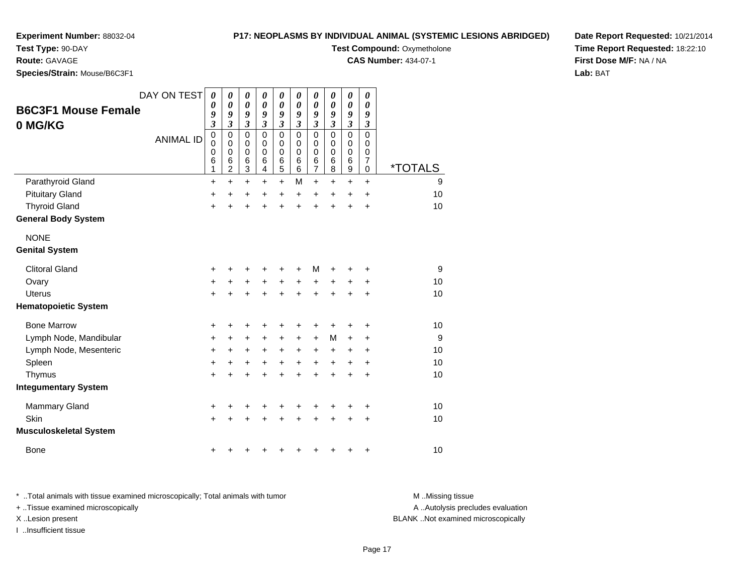**Test Type:** 90-DAY

**Route:** GAVAGE

**Species/Strain:** Mouse/B6C3F1

#### **P17: NEOPLASMS BY INDIVIDUAL ANIMAL (SYSTEMIC LESIONS ABRIDGED)**

**Test Compound: Oxymetholone** 

**CAS Number:** 434-07-1

**Date Report Requested:** 10/21/2014**Time Report Requested:** 18:22:10**First Dose M/F:** NA / NA**Lab:** BAT

| <b>B6C3F1 Mouse Female</b>    | DAY ON TEST      | $\boldsymbol{\theta}$<br>$\boldsymbol{\theta}$<br>9   | 0<br>$\boldsymbol{\theta}$<br>9                            | 0<br>$\boldsymbol{\theta}$<br>9                                  | 0<br>0<br>9                                      | $\boldsymbol{\theta}$<br>$\boldsymbol{\theta}$<br>9     | 0<br>0<br>9                            | $\boldsymbol{\theta}$<br>0<br>9    | 0<br>0<br>9                  | $\pmb{\theta}$<br>$\boldsymbol{\theta}$<br>9                 | 0<br>0<br>9                                  |                       |
|-------------------------------|------------------|-------------------------------------------------------|------------------------------------------------------------|------------------------------------------------------------------|--------------------------------------------------|---------------------------------------------------------|----------------------------------------|------------------------------------|------------------------------|--------------------------------------------------------------|----------------------------------------------|-----------------------|
| 0 MG/KG                       |                  | $\overline{\mathbf{3}}$                               | $\mathfrak{z}$                                             | $\mathfrak{z}$                                                   | $\mathfrak{z}$                                   | $\mathfrak{z}$                                          | $\mathfrak{z}$                         | $\boldsymbol{\beta}$               | $\mathfrak{z}$               | $\boldsymbol{\beta}$                                         | $\boldsymbol{\beta}$                         |                       |
|                               | <b>ANIMAL ID</b> | $\mathbf 0$<br>$\pmb{0}$<br>$\mathbf 0$<br>$\,6$<br>1 | $\mathbf 0$<br>$\mathbf 0$<br>0<br>$\,6$<br>$\overline{c}$ | $\mathbf 0$<br>$\pmb{0}$<br>$\mathbf 0$<br>$\,6$<br>$\mathbf{3}$ | $\Omega$<br>$\mathbf 0$<br>$\mathbf 0$<br>6<br>4 | $\mathbf 0$<br>$\mathbf 0$<br>$\mathbf 0$<br>$\,6$<br>5 | $\Omega$<br>0<br>$\mathbf 0$<br>6<br>6 | 0<br>0<br>0<br>6<br>$\overline{7}$ | $\Omega$<br>0<br>0<br>6<br>8 | $\mathbf 0$<br>0<br>0<br>$6\phantom{1}6$<br>$\boldsymbol{9}$ | $\mathbf 0$<br>0<br>0<br>$\overline{7}$<br>0 | <i><b>*TOTALS</b></i> |
| Parathyroid Gland             |                  | +                                                     | $\ddot{}$                                                  | $\ddot{}$                                                        | +                                                | $\ddot{}$                                               | M                                      | $\ddot{}$                          | $\pm$                        | $\ddot{}$                                                    | $\ddot{}$                                    | 9                     |
| <b>Pituitary Gland</b>        |                  | $\pmb{+}$                                             | +                                                          | +                                                                | +                                                | +                                                       | +                                      | $\ddot{}$                          | +                            | +                                                            | $\ddot{}$                                    | 10                    |
| <b>Thyroid Gland</b>          |                  | $\ddot{}$                                             |                                                            | +                                                                |                                                  | $\ddot{}$                                               | ÷                                      | $\ddot{}$                          | $\ddot{}$                    | $\ddot{}$                                                    | $\ddot{}$                                    | 10                    |
| <b>General Body System</b>    |                  |                                                       |                                                            |                                                                  |                                                  |                                                         |                                        |                                    |                              |                                                              |                                              |                       |
| <b>NONE</b>                   |                  |                                                       |                                                            |                                                                  |                                                  |                                                         |                                        |                                    |                              |                                                              |                                              |                       |
| <b>Genital System</b>         |                  |                                                       |                                                            |                                                                  |                                                  |                                                         |                                        |                                    |                              |                                                              |                                              |                       |
| <b>Clitoral Gland</b>         |                  | +                                                     |                                                            |                                                                  |                                                  | +                                                       |                                        | M                                  |                              | +                                                            | +                                            | 9                     |
| Ovary                         |                  | $\ddot{}$                                             | +                                                          | +                                                                | +                                                | $\ddot{}$                                               | +                                      | +                                  | +                            | +                                                            | +                                            | 10                    |
| Uterus                        |                  | $\ddot{}$                                             |                                                            |                                                                  |                                                  | +                                                       | +                                      | $\ddot{}$                          | +                            | +                                                            | $\ddot{}$                                    | 10                    |
| <b>Hematopoietic System</b>   |                  |                                                       |                                                            |                                                                  |                                                  |                                                         |                                        |                                    |                              |                                                              |                                              |                       |
| <b>Bone Marrow</b>            |                  | +                                                     |                                                            |                                                                  |                                                  |                                                         |                                        | +                                  | +                            | +                                                            | +                                            | 10                    |
| Lymph Node, Mandibular        |                  | +                                                     | +                                                          | +                                                                | +                                                | +                                                       | +                                      | +                                  | М                            | +                                                            | +                                            | 9                     |
| Lymph Node, Mesenteric        |                  | +                                                     | +                                                          | +                                                                | +                                                | +                                                       | +                                      | +                                  | +                            | +                                                            | $\ddot{}$                                    | 10                    |
| Spleen                        |                  | $\ddot{}$                                             | +                                                          | +                                                                | +                                                | +                                                       | +                                      | $\ddot{}$                          | +                            | +                                                            | $\ddot{}$                                    | 10                    |
| Thymus                        |                  | +                                                     |                                                            |                                                                  |                                                  | +                                                       | +                                      | $\ddot{}$                          | $\ddot{}$                    | $\ddot{}$                                                    | $\ddot{}$                                    | 10                    |
| <b>Integumentary System</b>   |                  |                                                       |                                                            |                                                                  |                                                  |                                                         |                                        |                                    |                              |                                                              |                                              |                       |
| <b>Mammary Gland</b>          |                  | +                                                     | +                                                          | +                                                                |                                                  | +                                                       | +                                      | +                                  | +                            | +                                                            | +                                            | 10                    |
| Skin                          |                  | $\ddot{}$                                             |                                                            |                                                                  |                                                  |                                                         |                                        |                                    |                              | +                                                            | +                                            | 10                    |
| <b>Musculoskeletal System</b> |                  |                                                       |                                                            |                                                                  |                                                  |                                                         |                                        |                                    |                              |                                                              |                                              |                       |
| <b>Bone</b>                   |                  | +                                                     |                                                            |                                                                  |                                                  |                                                         |                                        |                                    | +                            | +                                                            | +                                            | 10                    |

\* ..Total animals with tissue examined microscopically; Total animals with tumor **M** . Missing tissue M ..Missing tissue A ..Autolysis precludes evaluation + ..Tissue examined microscopically X ..Lesion present BLANK ..Not examined microscopicallyI ..Insufficient tissue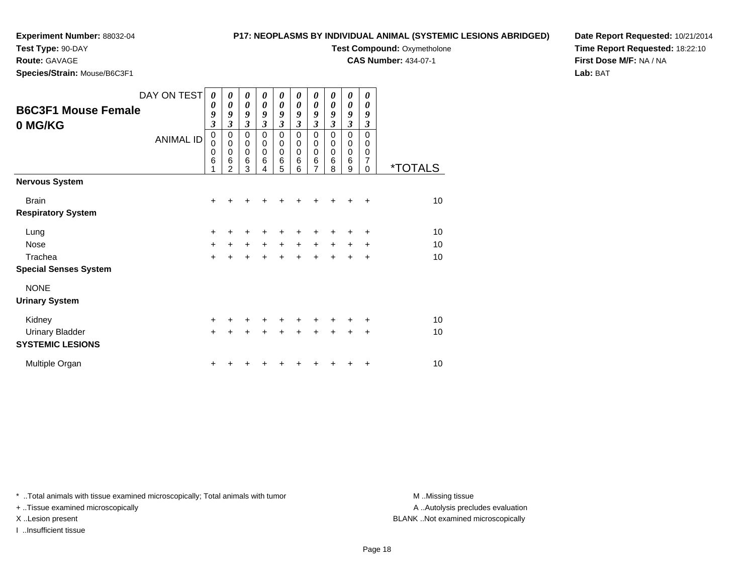**Test Type:** 90-DAY

**Route:** GAVAGE

**Species/Strain:** Mouse/B6C3F1

### **P17: NEOPLASMS BY INDIVIDUAL ANIMAL (SYSTEMIC LESIONS ABRIDGED)**

**Test Compound: Oxymetholone** 

**CAS Number:** 434-07-1

**Date Report Requested:** 10/21/2014**Time Report Requested:** 18:22:10**First Dose M/F:** NA / NA**Lab:** BAT

| <b>B6C3F1 Mouse Female</b><br>0 MG/KG | DAY ON TEST<br><b>ANIMAL ID</b> | 0<br>0<br>9<br>3<br>$\pmb{0}$<br>$\mathbf 0$<br>$\mathbf 0$<br>6<br>1 | 0<br>$\boldsymbol{\theta}$<br>9<br>3<br>0<br>$\mathbf 0$<br>$\mathbf 0$<br>6<br>$\overline{2}$ | 0<br>0<br>9<br>$\mathfrak{z}$<br>$\mathbf 0$<br>$\pmb{0}$<br>$\mathbf 0$<br>6<br>3 | 0<br>0<br>9<br>3<br>$\mathbf 0$<br>0<br>$\mathbf 0$<br>6<br>4 | 0<br>0<br>9<br>$\mathfrak{z}$<br>$\pmb{0}$<br>$\pmb{0}$<br>$\mathbf 0$<br>$\,6$<br>5 | 0<br>0<br>9<br>3<br>$\mathbf 0$<br>0<br>0<br>6<br>6 | 0<br>$\boldsymbol{\theta}$<br>9<br>$\mathfrak{z}$<br>$\mathbf 0$<br>0<br>$\mathbf 0$<br>6<br>$\overline{7}$ | 0<br>0<br>9<br>3<br>$\Omega$<br>0<br>$\Omega$<br>6<br>8 | 0<br>$\boldsymbol{\theta}$<br>9<br>$\mathfrak{z}$<br>$\mathbf 0$<br>0<br>$\mathbf 0$<br>6<br>9 | 0<br>0<br>9<br>3<br>$\Omega$<br>0<br>0<br>7<br>$\Omega$ | <i><b>*TOTALS</b></i> |
|---------------------------------------|---------------------------------|-----------------------------------------------------------------------|------------------------------------------------------------------------------------------------|------------------------------------------------------------------------------------|---------------------------------------------------------------|--------------------------------------------------------------------------------------|-----------------------------------------------------|-------------------------------------------------------------------------------------------------------------|---------------------------------------------------------|------------------------------------------------------------------------------------------------|---------------------------------------------------------|-----------------------|
| <b>Nervous System</b>                 |                                 |                                                                       |                                                                                                |                                                                                    |                                                               |                                                                                      |                                                     |                                                                                                             |                                                         |                                                                                                |                                                         |                       |
| <b>Brain</b>                          |                                 | +                                                                     |                                                                                                |                                                                                    |                                                               |                                                                                      |                                                     | +                                                                                                           | +                                                       | +                                                                                              | $\ddot{}$                                               | 10 <sup>1</sup>       |
| <b>Respiratory System</b>             |                                 |                                                                       |                                                                                                |                                                                                    |                                                               |                                                                                      |                                                     |                                                                                                             |                                                         |                                                                                                |                                                         |                       |
| Lung                                  |                                 | +                                                                     | +                                                                                              |                                                                                    |                                                               |                                                                                      | +                                                   | +                                                                                                           | +                                                       | +                                                                                              | ÷                                                       | 10                    |
| Nose                                  |                                 | $+$                                                                   | $\ddot{}$                                                                                      | $+$                                                                                | $+$                                                           | $+$                                                                                  | $\ddot{}$                                           | $\ddot{}$                                                                                                   | $\ddot{}$                                               | $\pm$                                                                                          | ÷                                                       | 10                    |
| Trachea                               |                                 | $+$                                                                   | $\ddot{}$                                                                                      | $+$                                                                                | $\ddot{}$                                                     | $+$                                                                                  | ÷                                                   | $\ddot{}$                                                                                                   | $\ddot{}$                                               | +                                                                                              | $\ddot{}$                                               | 10                    |
| <b>Special Senses System</b>          |                                 |                                                                       |                                                                                                |                                                                                    |                                                               |                                                                                      |                                                     |                                                                                                             |                                                         |                                                                                                |                                                         |                       |
| <b>NONE</b>                           |                                 |                                                                       |                                                                                                |                                                                                    |                                                               |                                                                                      |                                                     |                                                                                                             |                                                         |                                                                                                |                                                         |                       |
| <b>Urinary System</b>                 |                                 |                                                                       |                                                                                                |                                                                                    |                                                               |                                                                                      |                                                     |                                                                                                             |                                                         |                                                                                                |                                                         |                       |
| Kidney                                |                                 | $\ddot{}$                                                             | +                                                                                              | ÷                                                                                  | ÷                                                             | $\pm$                                                                                | $\pm$                                               | ÷                                                                                                           | ٠                                                       | +                                                                                              | ÷                                                       | 10                    |
| <b>Urinary Bladder</b>                |                                 | $\ddot{}$                                                             |                                                                                                |                                                                                    |                                                               |                                                                                      | $\ddot{}$                                           | $\ddot{}$                                                                                                   | $\ddot{}$                                               | $\ddot{}$                                                                                      | $\ddot{}$                                               | 10                    |
| <b>SYSTEMIC LESIONS</b>               |                                 |                                                                       |                                                                                                |                                                                                    |                                                               |                                                                                      |                                                     |                                                                                                             |                                                         |                                                                                                |                                                         |                       |
| Multiple Organ                        |                                 | +                                                                     |                                                                                                |                                                                                    |                                                               |                                                                                      |                                                     |                                                                                                             |                                                         | +                                                                                              | ÷                                                       | 10                    |

\* ..Total animals with tissue examined microscopically; Total animals with tumor **M** . Missing tissue M ..Missing tissue

+ ..Tissue examined microscopically

I ..Insufficient tissue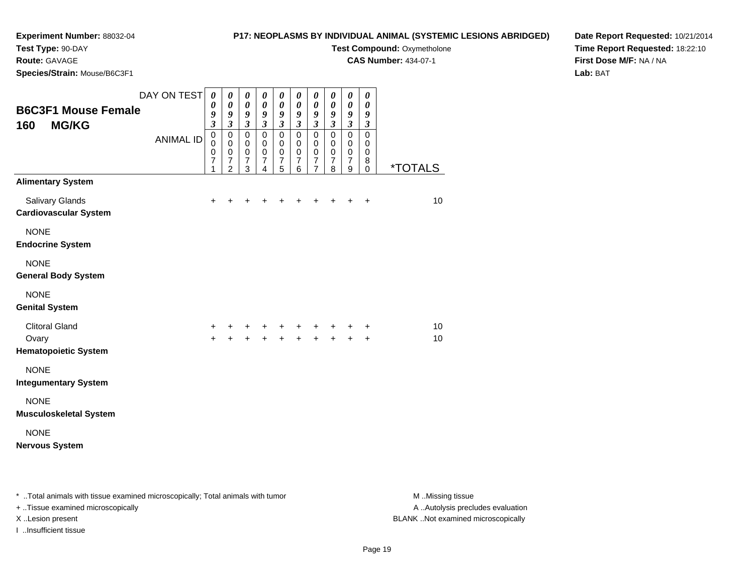## **P17: NEOPLASMS BY INDIVIDUAL ANIMAL (SYSTEMIC LESIONS ABRIDGED)**

**Test Type:** 90-DAY

**Route:** GAVAGE

**Species/Strain:** Mouse/B6C3F1

**Test Compound: Oxymetholone** 

**CAS Number:** 434-07-1

**Date Report Requested:** 10/21/2014**Time Report Requested:** 18:22:10**First Dose M/F:** NA / NA**Lab:** BAT

| <b>B6C3F1 Mouse Female</b><br><b>MG/KG</b><br>160                      | DAY ON TEST<br><b>ANIMAL ID</b> | $\boldsymbol{\theta}$<br>0<br>9<br>$\mathfrak{z}$<br>$\mathbf 0$<br>$\mathbf 0$<br>0<br>7<br>1 | $\pmb{\theta}$<br>$\boldsymbol{\theta}$<br>$\boldsymbol{g}$<br>$\mathfrak{z}$<br>$\pmb{0}$<br>$\mathbf 0$<br>$\pmb{0}$<br>$\overline{7}$<br>$\overline{2}$ | $\pmb{\theta}$<br>$\boldsymbol{\theta}$<br>$\boldsymbol{g}$<br>$\mathfrak{z}$<br>$\mathbf 0$<br>$\mathbf 0$<br>$\mathbf 0$<br>$\overline{7}$<br>3 | 0<br>$\boldsymbol{\theta}$<br>$\boldsymbol{9}$<br>$\mathfrak{z}$<br>$\pmb{0}$<br>$\mathbf 0$<br>$\mathbf 0$<br>$\overline{7}$<br>4 | $\pmb{\theta}$<br>$\boldsymbol{\theta}$<br>9<br>$\mathfrak{z}$<br>$\pmb{0}$<br>$\mathbf 0$<br>$\mathbf 0$<br>$\boldsymbol{7}$<br>5 | 0<br>$\boldsymbol{\theta}$<br>$\boldsymbol{g}$<br>$\mathfrak{z}$<br>$\mathsf 0$<br>$\mathbf 0$<br>$\mathbf 0$<br>$\overline{7}$<br>6 | 0<br>$\boldsymbol{\theta}$<br>9<br>$\mathfrak{z}$<br>$\pmb{0}$<br>0<br>$\mathbf 0$<br>$\boldsymbol{7}$<br>$\overline{7}$ | $\boldsymbol{\theta}$<br>$\boldsymbol{\theta}$<br>$\boldsymbol{g}$<br>$\mathfrak{z}$<br>$\mathbf 0$<br>$\mathbf 0$<br>$\mathbf 0$<br>$\overline{7}$<br>8 | $\pmb{\theta}$<br>$\boldsymbol{\theta}$<br>$\pmb{9}$<br>$\boldsymbol{\mathfrak{z}}$<br>$\pmb{0}$<br>0<br>$\,0\,$<br>$\overline{7}$<br>9 | $\boldsymbol{\theta}$<br>$\boldsymbol{\theta}$<br>$\boldsymbol{g}$<br>$\mathfrak{z}$<br>$\mathbf 0$<br>$\mathbf 0$<br>$\mathbf 0$<br>8<br>$\Omega$ | <i><b>*TOTALS</b></i> |
|------------------------------------------------------------------------|---------------------------------|------------------------------------------------------------------------------------------------|------------------------------------------------------------------------------------------------------------------------------------------------------------|---------------------------------------------------------------------------------------------------------------------------------------------------|------------------------------------------------------------------------------------------------------------------------------------|------------------------------------------------------------------------------------------------------------------------------------|--------------------------------------------------------------------------------------------------------------------------------------|--------------------------------------------------------------------------------------------------------------------------|----------------------------------------------------------------------------------------------------------------------------------------------------------|-----------------------------------------------------------------------------------------------------------------------------------------|----------------------------------------------------------------------------------------------------------------------------------------------------|-----------------------|
| <b>Alimentary System</b><br>Salivary Glands                            |                                 | $\ddot{}$                                                                                      | +                                                                                                                                                          | ٠                                                                                                                                                 | ٠                                                                                                                                  | ٠                                                                                                                                  | $\pm$                                                                                                                                | +                                                                                                                        | +                                                                                                                                                        | $\ddot{}$                                                                                                                               | $\ddot{}$                                                                                                                                          | 10                    |
| <b>Cardiovascular System</b><br><b>NONE</b><br><b>Endocrine System</b> |                                 |                                                                                                |                                                                                                                                                            |                                                                                                                                                   |                                                                                                                                    |                                                                                                                                    |                                                                                                                                      |                                                                                                                          |                                                                                                                                                          |                                                                                                                                         |                                                                                                                                                    |                       |
| <b>NONE</b><br><b>General Body System</b>                              |                                 |                                                                                                |                                                                                                                                                            |                                                                                                                                                   |                                                                                                                                    |                                                                                                                                    |                                                                                                                                      |                                                                                                                          |                                                                                                                                                          |                                                                                                                                         |                                                                                                                                                    |                       |
| <b>NONE</b><br><b>Genital System</b>                                   |                                 |                                                                                                |                                                                                                                                                            |                                                                                                                                                   |                                                                                                                                    |                                                                                                                                    |                                                                                                                                      |                                                                                                                          |                                                                                                                                                          |                                                                                                                                         |                                                                                                                                                    |                       |
| <b>Clitoral Gland</b><br>Ovary<br><b>Hematopoietic System</b>          |                                 | +<br>$\ddot{}$                                                                                 | ÷                                                                                                                                                          | +<br>$\ddot{}$                                                                                                                                    | +<br>$+$                                                                                                                           | $\ddot{}$<br>$+$                                                                                                                   | +<br>$+$                                                                                                                             | $\ddot{}$<br>$+$                                                                                                         | +                                                                                                                                                        | +<br>$+$                                                                                                                                | +<br>$\ddot{}$                                                                                                                                     | 10<br>10              |
| <b>NONE</b><br><b>Integumentary System</b>                             |                                 |                                                                                                |                                                                                                                                                            |                                                                                                                                                   |                                                                                                                                    |                                                                                                                                    |                                                                                                                                      |                                                                                                                          |                                                                                                                                                          |                                                                                                                                         |                                                                                                                                                    |                       |
| <b>NONE</b><br><b>Musculoskeletal System</b>                           |                                 |                                                                                                |                                                                                                                                                            |                                                                                                                                                   |                                                                                                                                    |                                                                                                                                    |                                                                                                                                      |                                                                                                                          |                                                                                                                                                          |                                                                                                                                         |                                                                                                                                                    |                       |
| <b>NONE</b><br><b>Nervous System</b>                                   |                                 |                                                                                                |                                                                                                                                                            |                                                                                                                                                   |                                                                                                                                    |                                                                                                                                    |                                                                                                                                      |                                                                                                                          |                                                                                                                                                          |                                                                                                                                         |                                                                                                                                                    |                       |

\* ..Total animals with tissue examined microscopically; Total animals with tumor **M** . Missing tissue M ..Missing tissue A ..Autolysis precludes evaluation + ..Tissue examined microscopically X ..Lesion present BLANK ..Not examined microscopicallyI ..Insufficient tissue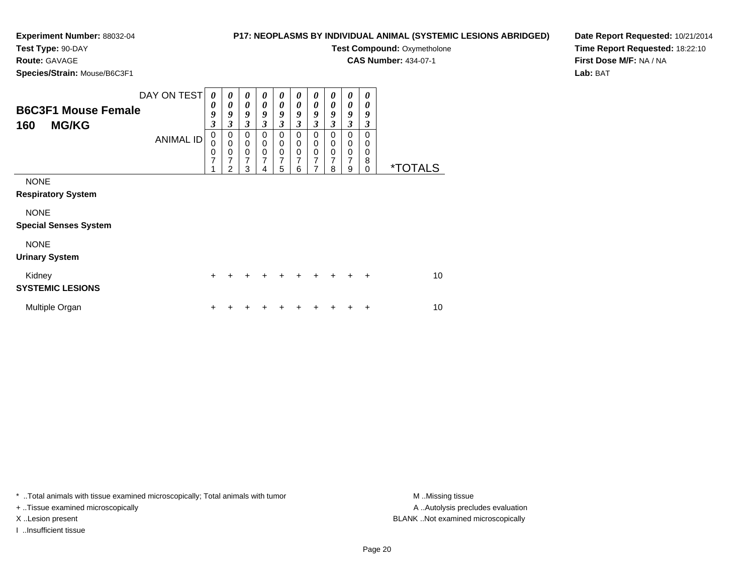## **P17: NEOPLASMS BY INDIVIDUAL ANIMAL (SYSTEMIC LESIONS ABRIDGED)**

**Test Compound: Oxymetholone CAS Number:** 434-07-1

**Test Type:** 90-DAY

## **Route:** GAVAGE

**Species/Strain:** Mouse/B6C3F1

**Date Report Requested:** 10/21/2014**Time Report Requested:** 18:22:10**First Dose M/F:** NA / NA**Lab:** BAT

| <b>B6C3F1 Mouse Female</b><br><b>MG/KG</b><br>160 | DAY ON TEST<br><b>ANIMAL ID</b> | $\boldsymbol{\theta}$<br>0<br>9<br>$\overline{\mathbf{3}}$<br>$\mathbf 0$<br>$\mathbf 0$<br>0<br>7 | 0<br>$\boldsymbol{\theta}$<br>9<br>3<br>0<br>$\mathbf 0$<br>0<br>7<br>2 | $\boldsymbol{\theta}$<br>$\boldsymbol{\theta}$<br>9<br>3<br>$\pmb{0}$<br>$\mathbf 0$<br>$\pmb{0}$<br>7<br>3 | 0<br>0<br>9<br>3<br>0<br>$\mathbf 0$<br>$\mathbf 0$<br>7<br>4 | 0<br>$\boldsymbol{\theta}$<br>9<br>$\mathfrak{z}$<br>$\mathbf 0$<br>0<br>$\mathbf 0$<br>$\overline{7}$<br>5 | 0<br>0<br>9<br>3<br>$\mathbf 0$<br>0<br>$\mathbf 0$<br>7<br>6 | 0<br>0<br>9<br>3<br>$\mathbf 0$<br>0<br>0<br>7<br>7 | 0<br>$\boldsymbol{\theta}$<br>9<br>3<br>0<br>0<br>0<br>7<br>8 | 0<br>$\boldsymbol{\theta}$<br>9<br>$\mathfrak{z}$<br>0<br>0<br>$\mathbf 0$<br>7<br>9 | 0<br>0<br>9<br>3<br>0<br>0<br>0<br>8<br>$\Omega$ | <i><b>*TOTALS</b></i> |
|---------------------------------------------------|---------------------------------|----------------------------------------------------------------------------------------------------|-------------------------------------------------------------------------|-------------------------------------------------------------------------------------------------------------|---------------------------------------------------------------|-------------------------------------------------------------------------------------------------------------|---------------------------------------------------------------|-----------------------------------------------------|---------------------------------------------------------------|--------------------------------------------------------------------------------------|--------------------------------------------------|-----------------------|
| <b>NONE</b><br><b>Respiratory System</b>          |                                 |                                                                                                    |                                                                         |                                                                                                             |                                                               |                                                                                                             |                                                               |                                                     |                                                               |                                                                                      |                                                  |                       |
| <b>NONE</b><br><b>Special Senses System</b>       |                                 |                                                                                                    |                                                                         |                                                                                                             |                                                               |                                                                                                             |                                                               |                                                     |                                                               |                                                                                      |                                                  |                       |
| <b>NONE</b><br><b>Urinary System</b>              |                                 |                                                                                                    |                                                                         |                                                                                                             |                                                               |                                                                                                             |                                                               |                                                     |                                                               |                                                                                      |                                                  |                       |
| Kidney<br><b>SYSTEMIC LESIONS</b>                 |                                 | $\ddot{}$                                                                                          |                                                                         |                                                                                                             |                                                               |                                                                                                             |                                                               | +                                                   | $\div$                                                        |                                                                                      | $\ddot{}$                                        | 10                    |
| Multiple Organ                                    |                                 | +                                                                                                  |                                                                         |                                                                                                             |                                                               |                                                                                                             |                                                               |                                                     |                                                               |                                                                                      |                                                  | 10                    |

\* ..Total animals with tissue examined microscopically; Total animals with tumor **M** . Missing tissue M ..Missing tissue

+ ..Tissue examined microscopically

I ..Insufficient tissue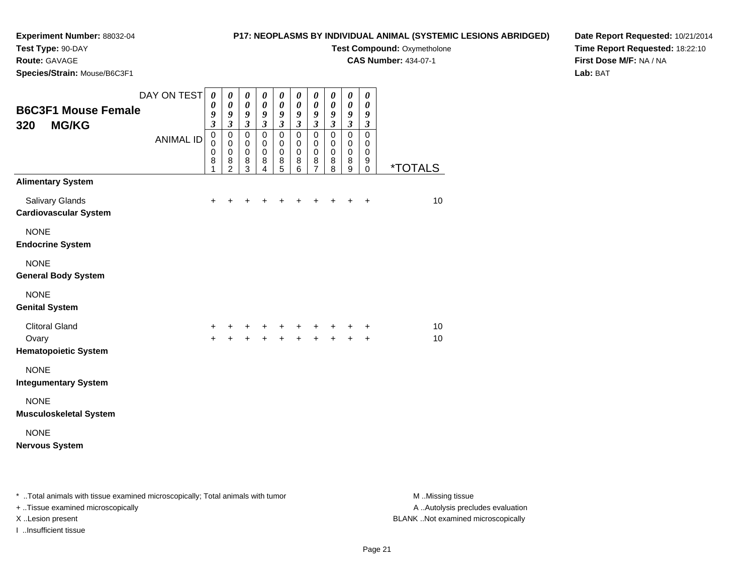## **P17: NEOPLASMS BY INDIVIDUAL ANIMAL (SYSTEMIC LESIONS ABRIDGED)**

**Test Compound: Oxymetholone CAS Number:** 434-07-1

**Test Type:** 90-DAY

**Route:** GAVAGE

**Species/Strain:** Mouse/B6C3F1

**Date Report Requested:** 10/21/2014**Time Report Requested:** 18:22:10**First Dose M/F:** NA / NA**Lab:** BAT

| <b>B6C3F1 Mouse Female</b><br><b>MG/KG</b><br>320  | DAY ON TEST<br><b>ANIMAL ID</b> | $\boldsymbol{\theta}$<br>0<br>9<br>$\overline{\mathbf{3}}$<br>$\pmb{0}$<br>$\Omega$<br>$\mathbf 0$<br>8<br>1 | 0<br>0<br>9<br>$\mathfrak{z}$<br>$\pmb{0}$<br>$\mathbf 0$<br>$\mathbf 0$<br>8<br>$\overline{2}$ | $\boldsymbol{\theta}$<br>$\boldsymbol{\theta}$<br>$\boldsymbol{g}$<br>$\mathfrak{z}$<br>$\pmb{0}$<br>0<br>$\mathbf 0$<br>$\bf8$<br>3 | 0<br>$\boldsymbol{\theta}$<br>9<br>$\mathfrak{z}$<br>$\mathsf 0$<br>$\mathbf 0$<br>$\pmb{0}$<br>8<br>4 | $\pmb{\theta}$<br>$\boldsymbol{\theta}$<br>$\pmb{9}$<br>$\mathfrak{z}$<br>$\pmb{0}$<br>$\mathbf 0$<br>$\mathbf 0$<br>8<br>5 | $\boldsymbol{\theta}$<br>$\boldsymbol{\theta}$<br>$\pmb{9}$<br>$\mathfrak{z}$<br>$\pmb{0}$<br>$\mathbf 0$<br>$\mathbf 0$<br>8<br>6 | $\pmb{\theta}$<br>$\pmb{\theta}$<br>9<br>$\overline{\mathbf{3}}$<br>$\pmb{0}$<br>$\mathbf 0$<br>0<br>$\bf8$<br>$\overline{7}$ | 0<br>0<br>$\boldsymbol{9}$<br>$\mathfrak{z}$<br>$\pmb{0}$<br>$\Omega$<br>0<br>8<br>8 | $\pmb{\theta}$<br>$\boldsymbol{\theta}$<br>9<br>$\mathfrak{z}$<br>$\pmb{0}$<br>$\mathbf 0$<br>$\pmb{0}$<br>$\bf8$<br>$\boldsymbol{9}$ | 0<br>0<br>9<br>$\mathfrak{z}$<br>$\pmb{0}$<br>$\mathbf 0$<br>0<br>9<br>0 | <u>*TOTALS</u> |
|----------------------------------------------------|---------------------------------|--------------------------------------------------------------------------------------------------------------|-------------------------------------------------------------------------------------------------|--------------------------------------------------------------------------------------------------------------------------------------|--------------------------------------------------------------------------------------------------------|-----------------------------------------------------------------------------------------------------------------------------|------------------------------------------------------------------------------------------------------------------------------------|-------------------------------------------------------------------------------------------------------------------------------|--------------------------------------------------------------------------------------|---------------------------------------------------------------------------------------------------------------------------------------|--------------------------------------------------------------------------|----------------|
| <b>Alimentary System</b><br><b>Salivary Glands</b> |                                 | $\ddot{}$                                                                                                    | +                                                                                               | +                                                                                                                                    | +                                                                                                      | +                                                                                                                           | +                                                                                                                                  | $\pm$                                                                                                                         | +                                                                                    | +                                                                                                                                     | $\ddot{}$                                                                | 10             |
| <b>Cardiovascular System</b>                       |                                 |                                                                                                              |                                                                                                 |                                                                                                                                      |                                                                                                        |                                                                                                                             |                                                                                                                                    |                                                                                                                               |                                                                                      |                                                                                                                                       |                                                                          |                |
| <b>NONE</b><br><b>Endocrine System</b>             |                                 |                                                                                                              |                                                                                                 |                                                                                                                                      |                                                                                                        |                                                                                                                             |                                                                                                                                    |                                                                                                                               |                                                                                      |                                                                                                                                       |                                                                          |                |
| <b>NONE</b><br><b>General Body System</b>          |                                 |                                                                                                              |                                                                                                 |                                                                                                                                      |                                                                                                        |                                                                                                                             |                                                                                                                                    |                                                                                                                               |                                                                                      |                                                                                                                                       |                                                                          |                |
| <b>NONE</b><br><b>Genital System</b>               |                                 |                                                                                                              |                                                                                                 |                                                                                                                                      |                                                                                                        |                                                                                                                             |                                                                                                                                    |                                                                                                                               |                                                                                      |                                                                                                                                       |                                                                          |                |
| <b>Clitoral Gland</b>                              |                                 | +                                                                                                            | +                                                                                               | +                                                                                                                                    | +                                                                                                      | +                                                                                                                           | +                                                                                                                                  | +                                                                                                                             | +                                                                                    | +                                                                                                                                     | +                                                                        | 10             |
| Ovary<br><b>Hematopoietic System</b>               |                                 | $\ddot{}$                                                                                                    | $\ddot{}$                                                                                       | $\ddot{}$                                                                                                                            |                                                                                                        | $+$                                                                                                                         |                                                                                                                                    | $\ddot{}$                                                                                                                     | $\ddot{}$                                                                            | $\ddot{}$                                                                                                                             | $\ddot{}$                                                                | 10             |
| <b>NONE</b><br><b>Integumentary System</b>         |                                 |                                                                                                              |                                                                                                 |                                                                                                                                      |                                                                                                        |                                                                                                                             |                                                                                                                                    |                                                                                                                               |                                                                                      |                                                                                                                                       |                                                                          |                |
| <b>NONE</b><br><b>Musculoskeletal System</b>       |                                 |                                                                                                              |                                                                                                 |                                                                                                                                      |                                                                                                        |                                                                                                                             |                                                                                                                                    |                                                                                                                               |                                                                                      |                                                                                                                                       |                                                                          |                |
| <b>NONE</b><br><b>Nervous System</b>               |                                 |                                                                                                              |                                                                                                 |                                                                                                                                      |                                                                                                        |                                                                                                                             |                                                                                                                                    |                                                                                                                               |                                                                                      |                                                                                                                                       |                                                                          |                |

\* ..Total animals with tissue examined microscopically; Total animals with tumor **M** . Missing tissue M ..Missing tissue A ..Autolysis precludes evaluation + ..Tissue examined microscopically X ..Lesion present BLANK ..Not examined microscopicallyI ..Insufficient tissue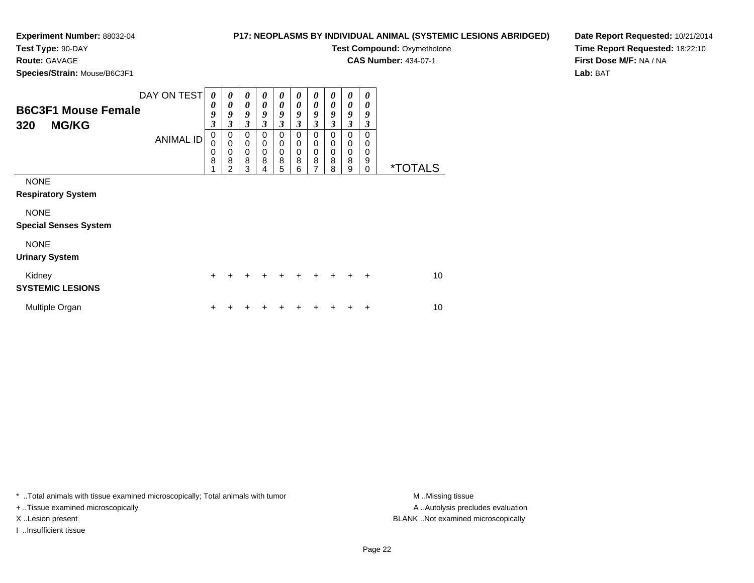## **P17: NEOPLASMS BY INDIVIDUAL ANIMAL (SYSTEMIC LESIONS ABRIDGED)**

**Test Compound: Oxymetholone CAS Number:** 434-07-1

**Test Type:** 90-DAY

**Route:** GAVAGE

**Species/Strain:** Mouse/B6C3F1

| Species/Strain: Mouse/B6C3F1                                                                           |                                                            |                                                                                     |                                                     |                                                                                     |                                                        |                                                                       |                                           |                                                                 |                                           |                                                     |                       |
|--------------------------------------------------------------------------------------------------------|------------------------------------------------------------|-------------------------------------------------------------------------------------|-----------------------------------------------------|-------------------------------------------------------------------------------------|--------------------------------------------------------|-----------------------------------------------------------------------|-------------------------------------------|-----------------------------------------------------------------|-------------------------------------------|-----------------------------------------------------|-----------------------|
| DAY ON TEST<br><b>B6C3F1 Mouse Female</b><br><b>MG/KG</b><br>320<br><b>ANIMAL ID</b>                   | 0<br>0<br>9<br>$\overline{\mathbf{3}}$<br>0<br>0<br>0<br>8 | 0<br>0<br>9<br>$\overline{\mathbf{3}}$<br>0<br>$\mathbf 0$<br>$\mathbf 0$<br>8<br>2 | 0<br>0<br>9<br>3<br>0<br>$\mathbf 0$<br>0<br>8<br>3 | 0<br>0<br>9<br>$\overline{\mathbf{3}}$<br>0<br>$\mathbf 0$<br>$\mathbf 0$<br>8<br>4 | 0<br>0<br>9<br>$\mathfrak{z}$<br>0<br>0<br>0<br>8<br>5 | 0<br>0<br>9<br>$\mathfrak{z}$<br>0<br>0<br>$\boldsymbol{0}$<br>8<br>6 | 0<br>0<br>9<br>3<br>0<br>0<br>0<br>8<br>7 | 0<br>0<br>9<br>$\overline{\mathbf{3}}$<br>0<br>0<br>0<br>8<br>8 | 0<br>0<br>9<br>3<br>0<br>0<br>0<br>8<br>9 | 0<br>0<br>9<br>3<br>0<br>0<br>0<br>9<br>$\mathbf 0$ | <i><b>*TOTALS</b></i> |
| <b>NONE</b><br><b>Respiratory System</b><br><b>NONE</b><br><b>Special Senses System</b><br><b>NONE</b> |                                                            |                                                                                     |                                                     |                                                                                     |                                                        |                                                                       |                                           |                                                                 |                                           |                                                     |                       |
| <b>Urinary System</b><br>Kidney<br><b>SYSTEMIC LESIONS</b>                                             | $\ddot{}$                                                  |                                                                                     |                                                     |                                                                                     |                                                        |                                                                       |                                           |                                                                 |                                           | +                                                   | 10                    |
| Multiple Organ                                                                                         | ٠                                                          |                                                                                     |                                                     |                                                                                     |                                                        |                                                                       |                                           |                                                                 |                                           | ٠                                                   | 10                    |

\* ..Total animals with tissue examined microscopically; Total animals with tumor **M** . Missing tissue M ..Missing tissue

+ ..Tissue examined microscopically

I ..Insufficient tissue

A ..Autolysis precludes evaluation X ..Lesion present BLANK ..Not examined microscopically

**Date Report Requested:** 10/21/2014**Time Report Requested:** 18:22:10**First Dose M/F:** NA / NA**Lab:** BAT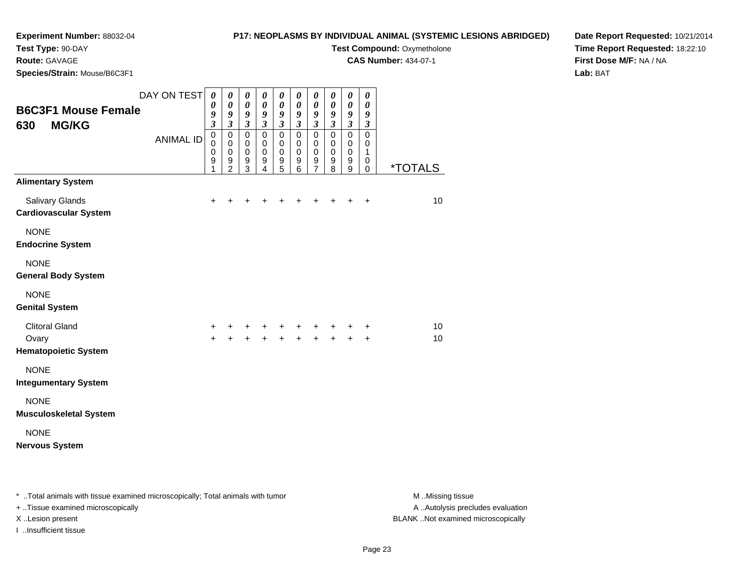## **P17: NEOPLASMS BY INDIVIDUAL ANIMAL (SYSTEMIC LESIONS ABRIDGED)**

**Test Compound: Oxymetholone CAS Number:** 434-07-1

**Test Type:** 90-DAY

## **Route:** GAVAGE

**Species/Strain:** Mouse/B6C3F1

**Date Report Requested:** 10/21/2014**Time Report Requested:** 18:22:10**First Dose M/F:** NA / NA**Lab:** BAT

| <b>B6C3F1 Mouse Female</b><br><b>MG/KG</b><br>630                           | DAY ON TEST<br><b>ANIMAL ID</b> | $\boldsymbol{\theta}$<br>0<br>9<br>$\overline{\mathbf{3}}$<br>$\pmb{0}$<br>$\mathbf 0$<br>$\mathbf 0$<br>9<br>1 | $\boldsymbol{\theta}$<br>$\boldsymbol{\theta}$<br>9<br>$\overline{\mathbf{3}}$<br>$\pmb{0}$<br>$\mathbf 0$<br>$\mathbf 0$<br>$\boldsymbol{9}$<br>$\overline{2}$ | $\boldsymbol{\theta}$<br>$\pmb{\theta}$<br>$\frac{9}{3}$<br>$\mathsf 0$<br>$\mathbf 0$<br>$\mathbf 0$<br>$\boldsymbol{9}$<br>3 | $\boldsymbol{\theta}$<br>$\pmb{\theta}$<br>$\frac{9}{3}$<br>$\mathbf 0$<br>$\mathbf 0$<br>$\mathbf 0$<br>9<br>$\overline{4}$ | $\pmb{\theta}$<br>$\boldsymbol{\theta}$<br>$\boldsymbol{g}$<br>$\overline{\mathbf{3}}$<br>$\mathbf 0$<br>0<br>$\mathbf 0$<br>$\boldsymbol{9}$<br>5 | $\boldsymbol{\theta}$<br>$\boldsymbol{\theta}$<br>$\boldsymbol{g}$<br>$\overline{\mathbf{3}}$<br>$\pmb{0}$<br>$\mathbf 0$<br>$\mathbf 0$<br>$\boldsymbol{9}$<br>$6\phantom{1}$ | $\pmb{\theta}$<br>0<br>9<br>$\overline{\mathbf{3}}$<br>$\mathsf 0$<br>0<br>$\pmb{0}$<br>$\boldsymbol{9}$<br>$\overline{7}$ | $\boldsymbol{\theta}$<br>0<br>9<br>$\mathfrak{z}$<br>$\mathbf 0$<br>$\mathbf 0$<br>$\mathbf 0$<br>9<br>8 | $\boldsymbol{\theta}$<br>$\boldsymbol{\theta}$<br>9<br>$\mathfrak{z}$<br>$\mathbf 0$<br>$\mathbf 0$<br>$\mathbf 0$<br>$\boldsymbol{9}$<br>$\overline{9}$ | 0<br>0<br>9<br>$\mathfrak{z}$<br>$\mathbf 0$<br>$\mathbf 0$<br>1<br>0<br>0 | <u><i><b>*TOTALS</b></i></u> |
|-----------------------------------------------------------------------------|---------------------------------|-----------------------------------------------------------------------------------------------------------------|-----------------------------------------------------------------------------------------------------------------------------------------------------------------|--------------------------------------------------------------------------------------------------------------------------------|------------------------------------------------------------------------------------------------------------------------------|----------------------------------------------------------------------------------------------------------------------------------------------------|--------------------------------------------------------------------------------------------------------------------------------------------------------------------------------|----------------------------------------------------------------------------------------------------------------------------|----------------------------------------------------------------------------------------------------------|----------------------------------------------------------------------------------------------------------------------------------------------------------|----------------------------------------------------------------------------|------------------------------|
| <b>Alimentary System</b><br>Salivary Glands<br><b>Cardiovascular System</b> |                                 | $\ddot{}$                                                                                                       | +                                                                                                                                                               | +                                                                                                                              | ٠                                                                                                                            | +                                                                                                                                                  |                                                                                                                                                                                | +                                                                                                                          | +                                                                                                        | $\ddot{}$                                                                                                                                                | $\ddot{}$                                                                  | 10                           |
| <b>NONE</b><br><b>Endocrine System</b>                                      |                                 |                                                                                                                 |                                                                                                                                                                 |                                                                                                                                |                                                                                                                              |                                                                                                                                                    |                                                                                                                                                                                |                                                                                                                            |                                                                                                          |                                                                                                                                                          |                                                                            |                              |
| <b>NONE</b><br><b>General Body System</b>                                   |                                 |                                                                                                                 |                                                                                                                                                                 |                                                                                                                                |                                                                                                                              |                                                                                                                                                    |                                                                                                                                                                                |                                                                                                                            |                                                                                                          |                                                                                                                                                          |                                                                            |                              |
| <b>NONE</b><br><b>Genital System</b>                                        |                                 |                                                                                                                 |                                                                                                                                                                 |                                                                                                                                |                                                                                                                              |                                                                                                                                                    |                                                                                                                                                                                |                                                                                                                            |                                                                                                          |                                                                                                                                                          |                                                                            |                              |
| <b>Clitoral Gland</b><br>Ovary<br><b>Hematopoietic System</b>               |                                 | +<br>$\ddot{}$                                                                                                  | +<br>$\ddot{}$                                                                                                                                                  | +<br>$\ddot{}$                                                                                                                 | $+$                                                                                                                          | +<br>$+$                                                                                                                                           | +                                                                                                                                                                              | +                                                                                                                          | +<br>$\ddot{}$                                                                                           | +<br>$+$                                                                                                                                                 | +<br>$+$                                                                   | 10<br>10 <sup>1</sup>        |
| <b>NONE</b><br><b>Integumentary System</b>                                  |                                 |                                                                                                                 |                                                                                                                                                                 |                                                                                                                                |                                                                                                                              |                                                                                                                                                    |                                                                                                                                                                                |                                                                                                                            |                                                                                                          |                                                                                                                                                          |                                                                            |                              |
| <b>NONE</b><br><b>Musculoskeletal System</b>                                |                                 |                                                                                                                 |                                                                                                                                                                 |                                                                                                                                |                                                                                                                              |                                                                                                                                                    |                                                                                                                                                                                |                                                                                                                            |                                                                                                          |                                                                                                                                                          |                                                                            |                              |
| <b>NONE</b><br><b>Nervous System</b>                                        |                                 |                                                                                                                 |                                                                                                                                                                 |                                                                                                                                |                                                                                                                              |                                                                                                                                                    |                                                                                                                                                                                |                                                                                                                            |                                                                                                          |                                                                                                                                                          |                                                                            |                              |

\* ..Total animals with tissue examined microscopically; Total animals with tumor **M** . Missing tissue M ..Missing tissue A ..Autolysis precludes evaluation + ..Tissue examined microscopically X ..Lesion present BLANK ..Not examined microscopicallyI ..Insufficient tissue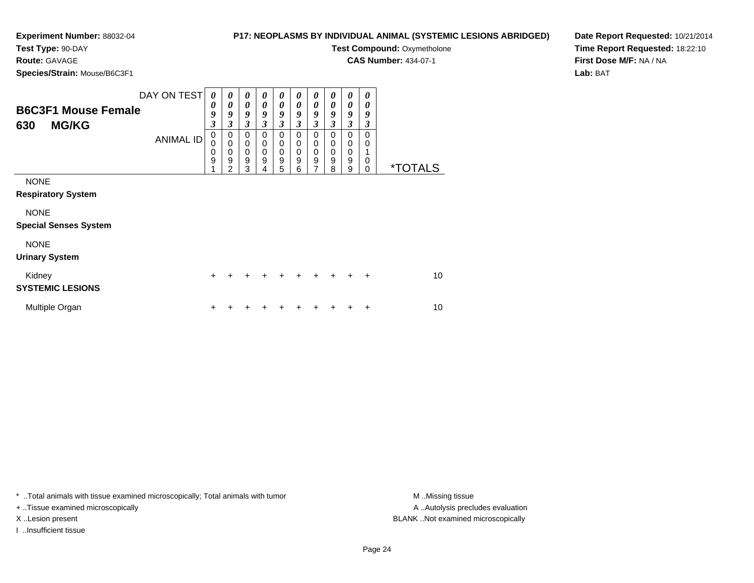## **P17: NEOPLASMS BY INDIVIDUAL ANIMAL (SYSTEMIC LESIONS ABRIDGED)Test Compound: Oxymetholone**

**CAS Number:** 434-07-1

**Test Type:** 90-DAY

**Route:** GAVAGE

**Species/Strain:** Mouse/B6C3F1

| - - - - - - - -                                   |                                 |                                                                                    |                                                          |                                                        |                                                          |                                                |                                                |                                                                    |                                                |                                      |                                                          |                       |
|---------------------------------------------------|---------------------------------|------------------------------------------------------------------------------------|----------------------------------------------------------|--------------------------------------------------------|----------------------------------------------------------|------------------------------------------------|------------------------------------------------|--------------------------------------------------------------------|------------------------------------------------|--------------------------------------|----------------------------------------------------------|-----------------------|
| <b>B6C3F1 Mouse Female</b><br><b>MG/KG</b><br>630 | DAY ON TEST<br><b>ANIMAL ID</b> | $\theta$<br>$\boldsymbol{\theta}$<br>9<br>$\boldsymbol{\beta}$<br>0<br>0<br>0<br>9 | 0<br>0<br>9<br>3<br>0<br>$\mathbf 0$<br>$\mathbf 0$<br>9 | 0<br>0<br>9<br>3<br>0<br>$\pmb{0}$<br>$\mathbf 0$<br>9 | 0<br>0<br>9<br>3<br>0<br>$\mathbf 0$<br>$\mathbf 0$<br>9 | 0<br>0<br>9<br>3<br>0<br>0<br>$\mathbf 0$<br>9 | 0<br>0<br>9<br>3<br>0<br>0<br>$\mathbf 0$<br>9 | 0<br>0<br>9<br>3<br>0<br>0<br>$\boldsymbol{0}$<br>$\boldsymbol{9}$ | 0<br>0<br>9<br>3<br>0<br>0<br>$\mathbf 0$<br>9 | 0<br>0<br>9<br>3<br>0<br>0<br>0<br>9 | 0<br>$\boldsymbol{\theta}$<br>9<br>3<br>0<br>0<br>1<br>0 |                       |
|                                                   |                                 |                                                                                    | 2                                                        | 3                                                      | 4                                                        | 5                                              | 6                                              | $\overline{7}$                                                     | 8                                              | 9                                    | $\mathbf 0$                                              | <i><b>*TOTALS</b></i> |
| <b>NONE</b><br><b>Respiratory System</b>          |                                 |                                                                                    |                                                          |                                                        |                                                          |                                                |                                                |                                                                    |                                                |                                      |                                                          |                       |
| <b>NONE</b>                                       |                                 |                                                                                    |                                                          |                                                        |                                                          |                                                |                                                |                                                                    |                                                |                                      |                                                          |                       |
| <b>Special Senses System</b>                      |                                 |                                                                                    |                                                          |                                                        |                                                          |                                                |                                                |                                                                    |                                                |                                      |                                                          |                       |
| <b>NONE</b><br><b>Urinary System</b>              |                                 |                                                                                    |                                                          |                                                        |                                                          |                                                |                                                |                                                                    |                                                |                                      |                                                          |                       |
| Kidney<br><b>SYSTEMIC LESIONS</b>                 |                                 | $\div$                                                                             |                                                          |                                                        |                                                          |                                                |                                                |                                                                    |                                                |                                      | ÷                                                        | 10                    |
| Multiple Organ                                    |                                 |                                                                                    |                                                          |                                                        |                                                          |                                                |                                                |                                                                    |                                                |                                      | +                                                        | 10                    |

\* ..Total animals with tissue examined microscopically; Total animals with tumor **M** . Missing tissue M ..Missing tissue

+ ..Tissue examined microscopically

I ..Insufficient tissue

A ..Autolysis precludes evaluation X ..Lesion present BLANK ..Not examined microscopically

**Date Report Requested:** 10/21/2014**Time Report Requested:** 18:22:10**First Dose M/F:** NA / NA**Lab:** BAT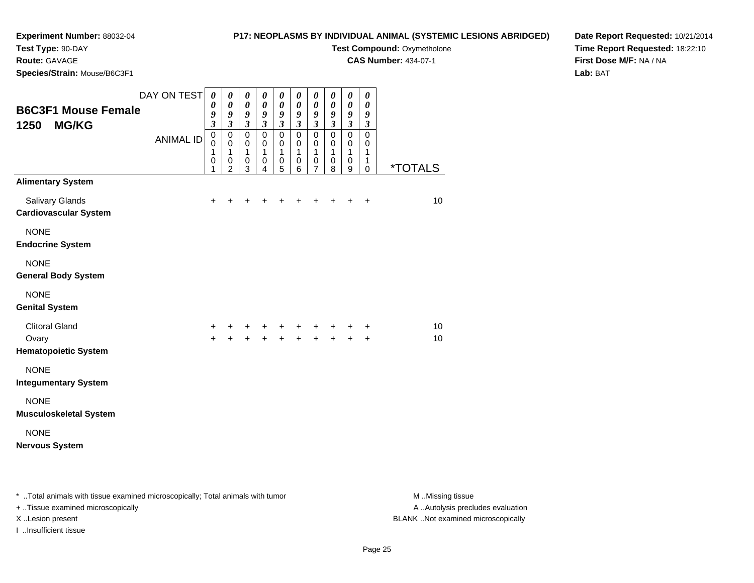## **Experiment Number:** 88032-04**Test Type:** 90-DAY

**Route:** GAVAGE

## **P17: NEOPLASMS BY INDIVIDUAL ANIMAL (SYSTEMIC LESIONS ABRIDGED)**

**Test Compound: Oxymetholone** 

**CAS Number:** 434-07-1

**Date Report Requested:** 10/21/2014**Time Report Requested:** 18:22:10**First Dose M/F:** NA / NA**Lab:** BAT

| Species/Strain: Mouse/B6C3F1                                  |                                 |                                                                                                                                |                                                                                                                         |                                                                               |                                                                                        |                                                                                    |                                                                                                     |                                                                                                       |                                                                                        |                                                                                     |                                                                                                     |                       |
|---------------------------------------------------------------|---------------------------------|--------------------------------------------------------------------------------------------------------------------------------|-------------------------------------------------------------------------------------------------------------------------|-------------------------------------------------------------------------------|----------------------------------------------------------------------------------------|------------------------------------------------------------------------------------|-----------------------------------------------------------------------------------------------------|-------------------------------------------------------------------------------------------------------|----------------------------------------------------------------------------------------|-------------------------------------------------------------------------------------|-----------------------------------------------------------------------------------------------------|-----------------------|
| <b>B6C3F1 Mouse Female</b><br><b>MG/KG</b><br>1250            | DAY ON TEST<br><b>ANIMAL ID</b> | $\boldsymbol{\theta}$<br>$\boldsymbol{\theta}$<br>9<br>$\overline{\mathbf{3}}$<br>$\overline{0}$<br>0<br>1<br>$\mathbf 0$<br>1 | $\boldsymbol{\theta}$<br>$\pmb{\theta}$<br>9<br>$\mathfrak{z}$<br>$\pmb{0}$<br>0<br>$\mathbf{1}$<br>0<br>$\overline{2}$ | 0<br>$\pmb{\theta}$<br>9<br>$\mathfrak{z}$<br>$\mathbf 0$<br>0<br>1<br>0<br>3 | 0<br>$\pmb{\theta}$<br>9<br>$\mathfrak{z}$<br>$\pmb{0}$<br>0<br>$\mathbf{1}$<br>0<br>4 | 0<br>$\boldsymbol{\theta}$<br>9<br>$\mathfrak{z}$<br>$\pmb{0}$<br>0<br>1<br>0<br>5 | $\pmb{\theta}$<br>$\pmb{\theta}$<br>9<br>$\mathfrak{z}$<br>$\pmb{0}$<br>0<br>$\mathbf{1}$<br>0<br>6 | 0<br>$\boldsymbol{\theta}$<br>9<br>$\boldsymbol{\beta}$<br>$\pmb{0}$<br>0<br>1<br>0<br>$\overline{7}$ | 0<br>$\pmb{\theta}$<br>9<br>$\mathfrak{z}$<br>$\pmb{0}$<br>0<br>$\mathbf{1}$<br>0<br>8 | 0<br>$\pmb{\theta}$<br>9<br>$\boldsymbol{\beta}$<br>$\mathsf 0$<br>0<br>1<br>0<br>9 | 0<br>$\boldsymbol{\theta}$<br>9<br>$\boldsymbol{\beta}$<br>$\pmb{0}$<br>0<br>$\mathbf{1}$<br>1<br>0 | <i><b>*TOTALS</b></i> |
| <b>Alimentary System</b>                                      |                                 |                                                                                                                                |                                                                                                                         |                                                                               |                                                                                        |                                                                                    |                                                                                                     |                                                                                                       |                                                                                        |                                                                                     |                                                                                                     |                       |
| Salivary Glands<br>Cardiovascular System                      |                                 | $\ddot{}$                                                                                                                      | +                                                                                                                       | +                                                                             | ٠                                                                                      | +                                                                                  | +                                                                                                   | +                                                                                                     | +                                                                                      | ٠                                                                                   | $\ddot{}$                                                                                           | 10                    |
| <b>NONE</b><br><b>Endocrine System</b>                        |                                 |                                                                                                                                |                                                                                                                         |                                                                               |                                                                                        |                                                                                    |                                                                                                     |                                                                                                       |                                                                                        |                                                                                     |                                                                                                     |                       |
| <b>NONE</b><br><b>General Body System</b>                     |                                 |                                                                                                                                |                                                                                                                         |                                                                               |                                                                                        |                                                                                    |                                                                                                     |                                                                                                       |                                                                                        |                                                                                     |                                                                                                     |                       |
| <b>NONE</b><br><b>Genital System</b>                          |                                 |                                                                                                                                |                                                                                                                         |                                                                               |                                                                                        |                                                                                    |                                                                                                     |                                                                                                       |                                                                                        |                                                                                     |                                                                                                     |                       |
| <b>Clitoral Gland</b><br>Ovary<br><b>Hematopoietic System</b> |                                 | $\ddot{}$<br>$+$                                                                                                               | $\ddot{}$                                                                                                               | $\pm$<br>$\ddot{+}$                                                           | $+$ $-$<br>$+$                                                                         | $+$<br>$+$                                                                         | +<br>$\ddot{+}$                                                                                     | +<br>$+$                                                                                              | $\ddot{+}$                                                                             | +<br>$\ddot{}$                                                                      | +<br>$\ddot{}$                                                                                      | 10<br>10              |
| <b>NONE</b><br><b>Integumentary System</b>                    |                                 |                                                                                                                                |                                                                                                                         |                                                                               |                                                                                        |                                                                                    |                                                                                                     |                                                                                                       |                                                                                        |                                                                                     |                                                                                                     |                       |
| <b>NONE</b><br>Musculoskeletal System                         |                                 |                                                                                                                                |                                                                                                                         |                                                                               |                                                                                        |                                                                                    |                                                                                                     |                                                                                                       |                                                                                        |                                                                                     |                                                                                                     |                       |
| <b>NONE</b><br>Nervous System                                 |                                 |                                                                                                                                |                                                                                                                         |                                                                               |                                                                                        |                                                                                    |                                                                                                     |                                                                                                       |                                                                                        |                                                                                     |                                                                                                     |                       |
|                                                               |                                 |                                                                                                                                |                                                                                                                         |                                                                               |                                                                                        |                                                                                    |                                                                                                     |                                                                                                       |                                                                                        |                                                                                     |                                                                                                     |                       |

| Total animals with tissue examined microscopically; Total animals with tumor | M Missing tissue                   |
|------------------------------------------------------------------------------|------------------------------------|
| + Tissue examined microscopically                                            | A Autolysis precludes evaluation   |
| X Lesion present                                                             | BLANK Not examined microscopically |
| …Insufficient tissue                                                         |                                    |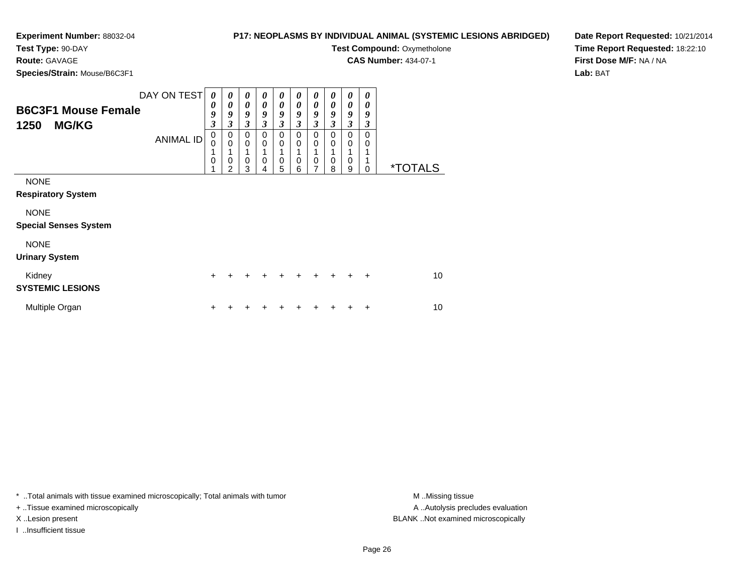## **Experiment Number:** 88032-04**Test Type:** 90-DAY

## **P17: NEOPLASMS BY INDIVIDUAL ANIMAL (SYSTEMIC LESIONS ABRIDGED)Test Compound: Oxymetholone**

**CAS Number:** 434-07-1

**Route:** GAVAGE

**Species/Strain:** Mouse/B6C3F1

**Date Report Requested:** 10/21/2014**Time Report Requested:** 18:22:10**First Dose M/F:** NA / NA**Lab:** BAT

| <b>B6C3F1 Mouse Female</b><br><b>MG/KG</b><br>1250 | DAY ON TEST<br><b>ANIMAL ID</b> | 0<br>0<br>9<br>$\overline{\mathbf{3}}$<br>0<br>0<br>1<br>0<br>4 | 0<br>0<br>9<br>$\overline{\mathbf{3}}$<br>0<br>$\mathbf 0$<br>1<br>0<br>2 | 0<br>0<br>9<br>$\boldsymbol{\beta}$<br>$\mathbf 0$<br>$\pmb{0}$<br>1<br>$\pmb{0}$<br>3 | $\boldsymbol{\theta}$<br>0<br>9<br>$\boldsymbol{\beta}$<br>$\mathbf 0$<br>$\mathbf 0$<br>$\mathbf 0$<br>4 | 0<br>$\boldsymbol{\theta}$<br>9<br>$\boldsymbol{\mathfrak{z}}$<br>0<br>$\mathbf 0$<br>1<br>$\mathbf 0$<br>5 | 0<br>0<br>9<br>3<br>$\mathbf 0$<br>0<br>$\mathbf 0$<br>6 | 0<br>0<br>9<br>$\boldsymbol{\beta}$<br>$\mathbf 0$<br>0<br>1<br>$\pmb{0}$<br>7 | 0<br>0<br>9<br>3<br>$\Omega$<br>0<br>$\Omega$<br>8 | 0<br>0<br>9<br>$\boldsymbol{\mathfrak{z}}$<br>$\mathbf 0$<br>0<br>1<br>0<br>9 | 0<br>0<br>9<br>3<br>0<br>0<br>0 | <i><b>*TOTALS</b></i> |
|----------------------------------------------------|---------------------------------|-----------------------------------------------------------------|---------------------------------------------------------------------------|----------------------------------------------------------------------------------------|-----------------------------------------------------------------------------------------------------------|-------------------------------------------------------------------------------------------------------------|----------------------------------------------------------|--------------------------------------------------------------------------------|----------------------------------------------------|-------------------------------------------------------------------------------|---------------------------------|-----------------------|
| <b>NONE</b><br><b>Respiratory System</b>           |                                 |                                                                 |                                                                           |                                                                                        |                                                                                                           |                                                                                                             |                                                          |                                                                                |                                                    |                                                                               |                                 |                       |
| <b>NONE</b><br><b>Special Senses System</b>        |                                 |                                                                 |                                                                           |                                                                                        |                                                                                                           |                                                                                                             |                                                          |                                                                                |                                                    |                                                                               |                                 |                       |
| <b>NONE</b><br><b>Urinary System</b>               |                                 |                                                                 |                                                                           |                                                                                        |                                                                                                           |                                                                                                             |                                                          |                                                                                |                                                    |                                                                               |                                 |                       |
| Kidney<br><b>SYSTEMIC LESIONS</b>                  |                                 | $\ddot{}$                                                       |                                                                           |                                                                                        |                                                                                                           |                                                                                                             |                                                          | $\div$                                                                         | $+$                                                | ÷                                                                             | $\ddot{}$                       | 10 <sup>1</sup>       |
| Multiple Organ                                     |                                 | +                                                               |                                                                           |                                                                                        |                                                                                                           |                                                                                                             |                                                          |                                                                                |                                                    |                                                                               | ٠                               | 10                    |

\* ..Total animals with tissue examined microscopically; Total animals with tumor **M** . Missing tissue M ..Missing tissue

+ ..Tissue examined microscopically

I ..Insufficient tissue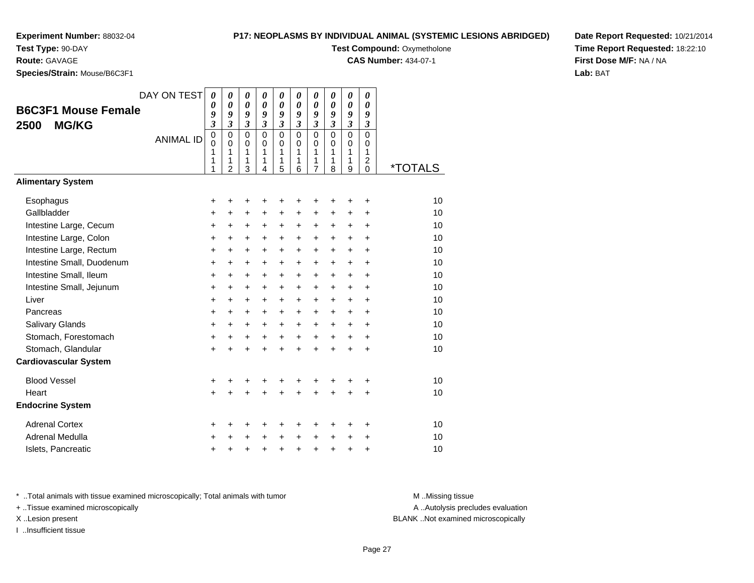## **P17: NEOPLASMS BY INDIVIDUAL ANIMAL (SYSTEMIC LESIONS ABRIDGED)Test Compound: Oxymetholone**

**CAS Number:** 434-07-1

**Test Type:** 90-DAY

**Route:** GAVAGE

**Species/Strain:** Mouse/B6C3F1

**Date Report Requested:** 10/21/2014**Time Report Requested:** 18:22:10**First Dose M/F:** NA / NA**Lab:** BAT

| <b>B6C3F1 Mouse Female</b><br><b>MG/KG</b><br>2500 | DAY ON TEST<br><b>ANIMAL ID</b> | 0<br>0<br>9<br>$\mathfrak{z}$<br>$\pmb{0}$<br>$\mathbf 0$<br>1<br>1<br>1 | $\boldsymbol{\theta}$<br>$\boldsymbol{\theta}$<br>9<br>$\overline{\mathbf{3}}$<br>$\mathbf 0$<br>$\mathbf 0$<br>1<br>1<br>$\overline{2}$ | 0<br>$\boldsymbol{\theta}$<br>9<br>$\mathfrak{z}$<br>$\mathbf 0$<br>$\mathbf 0$<br>1<br>1<br>3 | $\boldsymbol{\theta}$<br>$\boldsymbol{\theta}$<br>9<br>$\mathfrak{z}$<br>$\Omega$<br>$\Omega$<br>1<br>1<br>4 | 0<br>$\boldsymbol{\theta}$<br>9<br>$\boldsymbol{\mathfrak{z}}$<br>$\mathbf 0$<br>0<br>1<br>1<br>5 | 0<br>$\boldsymbol{\theta}$<br>9<br>$\overline{\mathbf{3}}$<br>0<br>$\mathbf 0$<br>1<br>1<br>6 | 0<br>$\boldsymbol{\theta}$<br>9<br>$\overline{\mathbf{3}}$<br>0<br>0<br>1<br>1<br>7 | $\boldsymbol{\theta}$<br>$\boldsymbol{\theta}$<br>9<br>$\overline{\mathbf{3}}$<br>$\mathbf 0$<br>$\mathbf 0$<br>1<br>1<br>8 | 0<br>$\boldsymbol{\theta}$<br>9<br>$\mathfrak{z}$<br>$\mathbf 0$<br>$\mathbf 0$<br>1<br>1<br>9 | 0<br>$\boldsymbol{\theta}$<br>9<br>$\mathfrak{z}$<br>$\mathbf 0$<br>0<br>1<br>$\overline{2}$<br>0 | <i><b>*TOTALS</b></i> |
|----------------------------------------------------|---------------------------------|--------------------------------------------------------------------------|------------------------------------------------------------------------------------------------------------------------------------------|------------------------------------------------------------------------------------------------|--------------------------------------------------------------------------------------------------------------|---------------------------------------------------------------------------------------------------|-----------------------------------------------------------------------------------------------|-------------------------------------------------------------------------------------|-----------------------------------------------------------------------------------------------------------------------------|------------------------------------------------------------------------------------------------|---------------------------------------------------------------------------------------------------|-----------------------|
| <b>Alimentary System</b>                           |                                 |                                                                          |                                                                                                                                          |                                                                                                |                                                                                                              |                                                                                                   |                                                                                               |                                                                                     |                                                                                                                             |                                                                                                |                                                                                                   |                       |
| Esophagus                                          |                                 | +                                                                        | +                                                                                                                                        | +                                                                                              | +                                                                                                            | +                                                                                                 | +                                                                                             | +                                                                                   |                                                                                                                             | +                                                                                              | +                                                                                                 | 10                    |
| Gallbladder                                        |                                 | +                                                                        | $\ddot{}$                                                                                                                                | +                                                                                              | +                                                                                                            | +                                                                                                 | +                                                                                             | +                                                                                   | +                                                                                                                           | +                                                                                              | +                                                                                                 | 10                    |
| Intestine Large, Cecum                             |                                 | $\ddot{}$                                                                | +                                                                                                                                        | +                                                                                              | +                                                                                                            | $\pm$                                                                                             | $\pm$                                                                                         | +                                                                                   | $\ddot{}$                                                                                                                   | $\ddot{}$                                                                                      | $\ddot{}$                                                                                         | 10                    |
| Intestine Large, Colon                             |                                 | +                                                                        | $\ddot{}$                                                                                                                                | $\ddot{}$                                                                                      | +                                                                                                            | +                                                                                                 | +                                                                                             | +                                                                                   | +                                                                                                                           | $\ddot{}$                                                                                      | +                                                                                                 | 10                    |
| Intestine Large, Rectum                            |                                 | $\ddot{}$                                                                | $\ddot{}$                                                                                                                                | $\ddot{}$                                                                                      | $\ddot{}$                                                                                                    | $\ddot{}$                                                                                         | $\ddot{}$                                                                                     | $\ddot{}$                                                                           | $\ddot{}$                                                                                                                   | $\ddot{}$                                                                                      | $\ddot{}$                                                                                         | 10                    |
| Intestine Small, Duodenum                          |                                 | $\ddot{}$                                                                | $\ddot{}$                                                                                                                                | $\ddot{}$                                                                                      | $\ddot{}$                                                                                                    | $\ddot{}$                                                                                         | $\ddot{}$                                                                                     | $\ddot{}$                                                                           | $\ddot{}$                                                                                                                   | $\ddot{}$                                                                                      | $\ddot{}$                                                                                         | 10                    |
| Intestine Small, Ileum                             |                                 | $\ddot{}$                                                                | $\ddot{}$                                                                                                                                | $\ddot{}$                                                                                      | $\ddot{}$                                                                                                    | $\ddot{}$                                                                                         | $\ddot{}$                                                                                     | $\ddot{}$                                                                           | $\ddot{}$                                                                                                                   | $+$                                                                                            | ÷                                                                                                 | 10                    |
| Intestine Small, Jejunum                           |                                 | +                                                                        | +                                                                                                                                        | +                                                                                              | +                                                                                                            | +                                                                                                 | +                                                                                             | +                                                                                   | +                                                                                                                           | $\ddot{}$                                                                                      | +                                                                                                 | 10                    |
| Liver                                              |                                 | +                                                                        | +                                                                                                                                        | +                                                                                              | +                                                                                                            | +                                                                                                 | +                                                                                             | +                                                                                   | +                                                                                                                           | +                                                                                              | +                                                                                                 | 10                    |
| Pancreas                                           |                                 | +                                                                        | $\ddot{}$                                                                                                                                | $\ddot{}$                                                                                      | +                                                                                                            | $\ddot{}$                                                                                         | +                                                                                             | +                                                                                   | $\ddot{}$                                                                                                                   | $\ddot{}$                                                                                      | $\ddot{}$                                                                                         | 10                    |
| Salivary Glands                                    |                                 | +                                                                        | $\ddot{}$                                                                                                                                | $\ddot{}$                                                                                      | $\ddot{}$                                                                                                    | $\ddot{}$                                                                                         | $\ddot{}$                                                                                     | $\ddot{}$                                                                           | $\ddot{}$                                                                                                                   | $\ddot{}$                                                                                      | $\ddot{}$                                                                                         | 10                    |
| Stomach, Forestomach                               |                                 | +                                                                        | $\ddot{}$                                                                                                                                | $\ddot{}$                                                                                      | $\ddot{}$                                                                                                    | +                                                                                                 | $\ddot{}$                                                                                     | +                                                                                   | $\ddot{}$                                                                                                                   | $\ddot{}$                                                                                      | $\ddot{}$                                                                                         | 10                    |
| Stomach, Glandular                                 |                                 | $\ddot{}$                                                                | $\ddot{}$                                                                                                                                | $\ddot{}$                                                                                      | $\ddot{}$                                                                                                    | $+$                                                                                               | $\ddot{}$                                                                                     | $\ddot{}$                                                                           | $\ddot{}$                                                                                                                   | $\ddot{}$                                                                                      | ÷                                                                                                 | 10                    |
| <b>Cardiovascular System</b>                       |                                 |                                                                          |                                                                                                                                          |                                                                                                |                                                                                                              |                                                                                                   |                                                                                               |                                                                                     |                                                                                                                             |                                                                                                |                                                                                                   |                       |
| <b>Blood Vessel</b>                                |                                 | +                                                                        |                                                                                                                                          | +                                                                                              |                                                                                                              |                                                                                                   |                                                                                               |                                                                                     |                                                                                                                             |                                                                                                | +                                                                                                 | 10                    |
| Heart                                              |                                 | $\ddot{}$                                                                | $\ddot{}$                                                                                                                                | $\ddot{}$                                                                                      | $\ddot{}$                                                                                                    | $\ddot{}$                                                                                         | $\ddot{}$                                                                                     | $\ddot{}$                                                                           | $\ddot{}$                                                                                                                   | $\ddot{}$                                                                                      | $\ddot{}$                                                                                         | 10                    |
| <b>Endocrine System</b>                            |                                 |                                                                          |                                                                                                                                          |                                                                                                |                                                                                                              |                                                                                                   |                                                                                               |                                                                                     |                                                                                                                             |                                                                                                |                                                                                                   |                       |
| <b>Adrenal Cortex</b>                              |                                 | +                                                                        | ٠                                                                                                                                        | +                                                                                              | +                                                                                                            | +                                                                                                 | +                                                                                             | +                                                                                   | ٠                                                                                                                           | ٠                                                                                              | ٠                                                                                                 | 10                    |
| <b>Adrenal Medulla</b>                             |                                 | +                                                                        |                                                                                                                                          | +                                                                                              | +                                                                                                            | $\ddot{}$                                                                                         | $\ddot{}$                                                                                     | $\ddot{}$                                                                           | $\ddot{}$                                                                                                                   | +                                                                                              | +                                                                                                 | 10                    |
| Islets, Pancreatic                                 |                                 | $\ddot{}$                                                                | +                                                                                                                                        | +                                                                                              | $\ddot{}$                                                                                                    | $\ddot{}$                                                                                         | $\ddot{}$                                                                                     | $\ddot{}$                                                                           | $\ddot{}$                                                                                                                   | $\ddot{}$                                                                                      | +                                                                                                 | 10                    |

\* ..Total animals with tissue examined microscopically; Total animals with tumor **M** . Missing tissue M ..Missing tissue

+ ..Tissue examined microscopically

I ..Insufficient tissue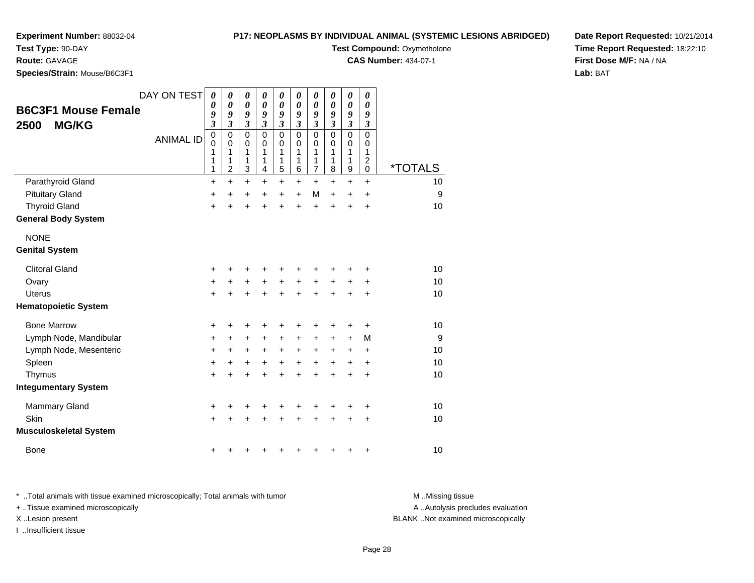#### **P17: NEOPLASMS BY INDIVIDUAL ANIMAL (SYSTEMIC LESIONS ABRIDGED)**

**Test Compound: Oxymetholone CAS Number:** 434-07-1

**Experiment Number:** 88032-04

**Test Type:** 90-DAY

**Route:** GAVAGE

**Species/Strain:** Mouse/B6C3F1

|                               | DAY ON TEST      | 0                       | 0                    | 0                          | 0                           | $\pmb{\theta}$              | $\boldsymbol{\theta}$      | 0                          | 0                          | 0                          | 0                    |                       |
|-------------------------------|------------------|-------------------------|----------------------|----------------------------|-----------------------------|-----------------------------|----------------------------|----------------------------|----------------------------|----------------------------|----------------------|-----------------------|
| <b>B6C3F1 Mouse Female</b>    |                  | 0<br>9                  | 0<br>9               | $\boldsymbol{\theta}$<br>9 | 0<br>9                      | 0<br>9                      | $\boldsymbol{\theta}$<br>9 | $\boldsymbol{\theta}$<br>9 | $\boldsymbol{\theta}$<br>9 | $\boldsymbol{\theta}$<br>9 | 0<br>9               |                       |
| <b>MG/KG</b><br>2500          |                  | $\overline{\mathbf{3}}$ | $\boldsymbol{\beta}$ | $\boldsymbol{\beta}$       | $\boldsymbol{\mathfrak{z}}$ | $\boldsymbol{\mathfrak{z}}$ | $\mathfrak{z}$             | $\mathfrak{z}$             | $\mathfrak{z}$             | $\boldsymbol{\beta}$       | $\boldsymbol{\beta}$ |                       |
|                               | <b>ANIMAL ID</b> | $\mathbf 0$             | $\mathbf 0$          | $\mathbf 0$                | $\mathbf 0$                 | 0                           | $\mathbf 0$                | $\mathbf 0$                | $\mathbf 0$                | $\mathbf 0$                | $\mathbf 0$          |                       |
|                               |                  | 0<br>1                  | 0<br>1               | 0<br>1                     | $\mathbf 0$<br>1            | 0<br>1                      | 0<br>1                     | 0<br>1                     | $\mathbf 0$<br>1           | $\mathbf 0$<br>1           | 0<br>1               |                       |
|                               |                  | 1                       | 1                    | 1                          | 1                           | 1                           | 1                          | 1                          | 1                          | 1                          | $\boldsymbol{2}$     |                       |
|                               |                  | 1                       | $\overline{c}$       | 3                          | 4                           | 5                           | $\,6$                      | $\overline{7}$             | 8                          | $\boldsymbol{9}$           | 0                    | <i><b>*TOTALS</b></i> |
| Parathyroid Gland             |                  | $\ddot{}$               | $\ddot{}$            | $\ddot{}$                  | $\ddot{}$                   | $\ddot{}$                   | $\ddot{}$                  | $\ddot{}$                  | $\ddot{}$                  | $\ddot{}$                  | $+$                  | 10                    |
| <b>Pituitary Gland</b>        |                  | $\ddot{}$               | $\ddot{}$            | $\ddot{}$                  | $\ddot{}$                   | $\ddot{}$                   | $\ddot{}$                  | M                          | $\ddot{}$                  | $\ddot{}$                  | +                    | 9                     |
| <b>Thyroid Gland</b>          |                  | $\ddot{}$               | +                    | +                          | +                           | +                           | $\ddot{}$                  | $\div$                     | +                          | +                          | +                    | 10                    |
| <b>General Body System</b>    |                  |                         |                      |                            |                             |                             |                            |                            |                            |                            |                      |                       |
| <b>NONE</b>                   |                  |                         |                      |                            |                             |                             |                            |                            |                            |                            |                      |                       |
| <b>Genital System</b>         |                  |                         |                      |                            |                             |                             |                            |                            |                            |                            |                      |                       |
| <b>Clitoral Gland</b>         |                  | +                       | +                    | +                          | +                           | +                           | +                          |                            | +                          | +                          | +                    | 10                    |
| Ovary                         |                  | $\ddot{}$               | $\ddot{}$            | $\ddot{}$                  | $\ddot{}$                   | $\ddot{}$                   | $\ddot{}$                  | $\ddot{}$                  | $\ddot{}$                  | $\ddot{}$                  | +                    | 10                    |
| <b>Uterus</b>                 |                  | $\ddot{}$               | $\ddot{}$            | +                          | $\ddot{}$                   | $\ddot{}$                   | $\ddot{}$                  | $\ddot{}$                  | $\ddot{}$                  | $\ddot{}$                  | $\ddot{}$            | 10                    |
| <b>Hematopoietic System</b>   |                  |                         |                      |                            |                             |                             |                            |                            |                            |                            |                      |                       |
| <b>Bone Marrow</b>            |                  | +                       | +                    | +                          | +                           | +                           | +                          | +                          | +                          | +                          | +                    | 10                    |
| Lymph Node, Mandibular        |                  | +                       | +                    | +                          | $\ddot{}$                   | +                           | +                          | +                          | +                          | $\ddot{}$                  | M                    | 9                     |
| Lymph Node, Mesenteric        |                  | $\ddot{}$               | $\ddot{}$            | $\ddot{}$                  | $\ddot{}$                   | +                           | +                          | $\ddot{}$                  | +                          | $\ddot{}$                  | $\ddot{}$            | 10                    |
| Spleen                        |                  | $\ddot{}$               | $\ddot{}$            | $\ddot{}$                  | $\ddot{}$                   | $\ddot{}$                   | $\ddot{}$                  | $\ddot{}$                  | $\ddot{}$                  | $\ddot{}$                  | $\ddot{}$            | 10                    |
| Thymus                        |                  | $\ddot{}$               | +                    | +                          | +                           | +                           | $\ddot{}$                  | $\ddot{}$                  | $\ddot{}$                  | $\ddot{}$                  | +                    | 10                    |
| <b>Integumentary System</b>   |                  |                         |                      |                            |                             |                             |                            |                            |                            |                            |                      |                       |
| <b>Mammary Gland</b>          |                  | +                       | +                    |                            | +                           | +                           | +                          |                            |                            |                            | +                    | 10                    |
| Skin                          |                  | $\ddot{}$               | +                    |                            | +                           | +                           | +                          |                            |                            |                            | +                    | 10                    |
| <b>Musculoskeletal System</b> |                  |                         |                      |                            |                             |                             |                            |                            |                            |                            |                      |                       |
| Bone                          |                  | ٠                       |                      |                            |                             |                             |                            |                            |                            | +                          | +                    | 10                    |

**Date Report Requested:** 10/21/2014**Time Report Requested:** 18:22:10**First Dose M/F:** NA / NA**Lab:** BAT

\* ..Total animals with tissue examined microscopically; Total animals with tumor **M** . Missing tissue M ..Missing tissue A ..Autolysis precludes evaluation + ..Tissue examined microscopically X ..Lesion present BLANK ..Not examined microscopicallyI ..Insufficient tissue